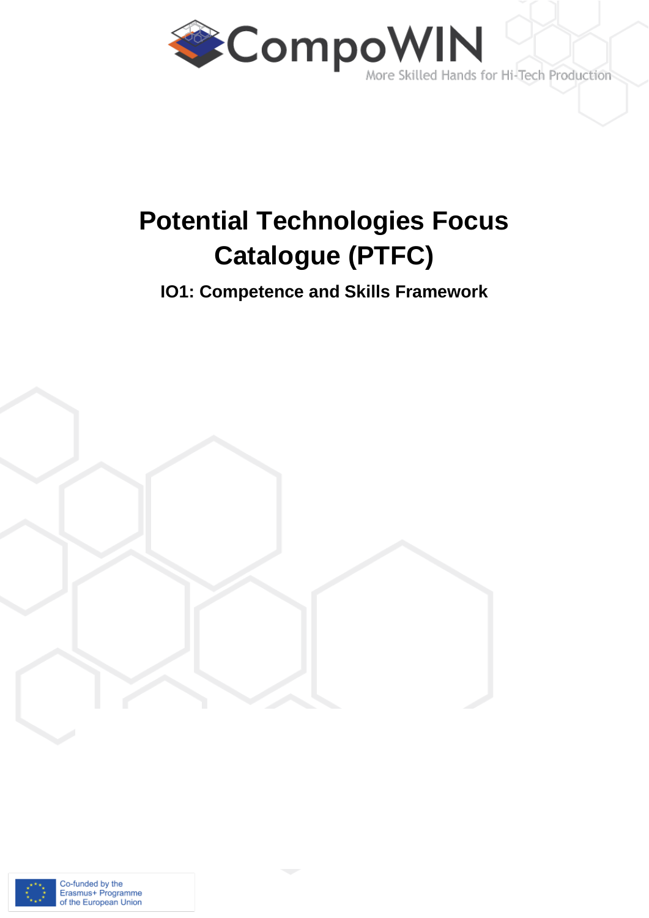

# **Potential Technologies Focus Catalogue (PTFC)**

## **IO1: Competence and Skills Framework**



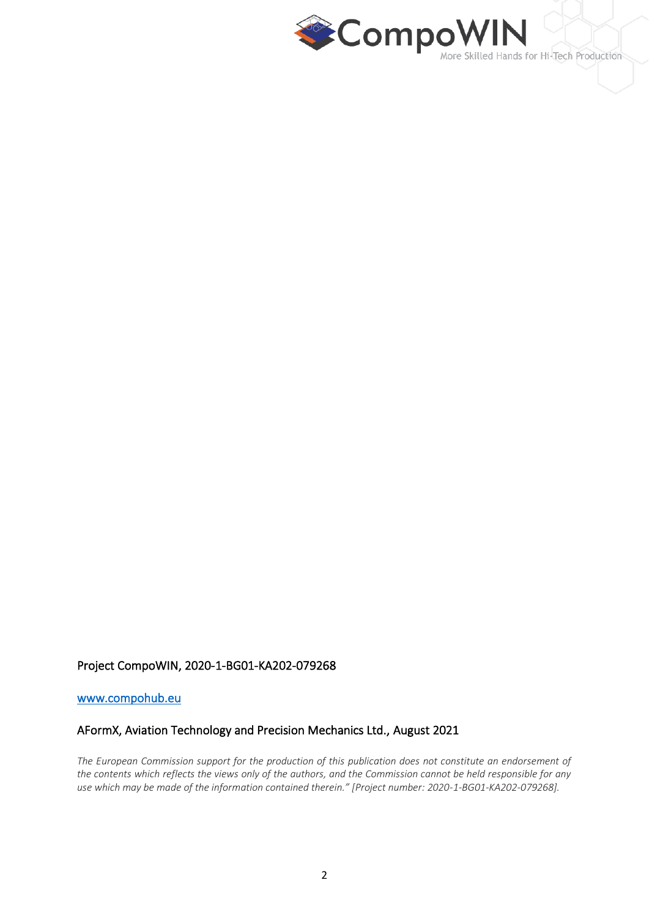

#### Project CompoWIN, 2020-1-BG01-KA202-079268

[www.compohub.eu](http://www.mindfulageing.eu/)

#### AFormX, Aviation Technology and Precision Mechanics Ltd., August 2021

*The European Commission support for the production of this publication does not constitute an endorsement of the contents which reflects the views only of the authors, and the Commission cannot be held responsible for any use which may be made of the information contained therein." [Project number: 2020-1-BG01-KA202-079268].*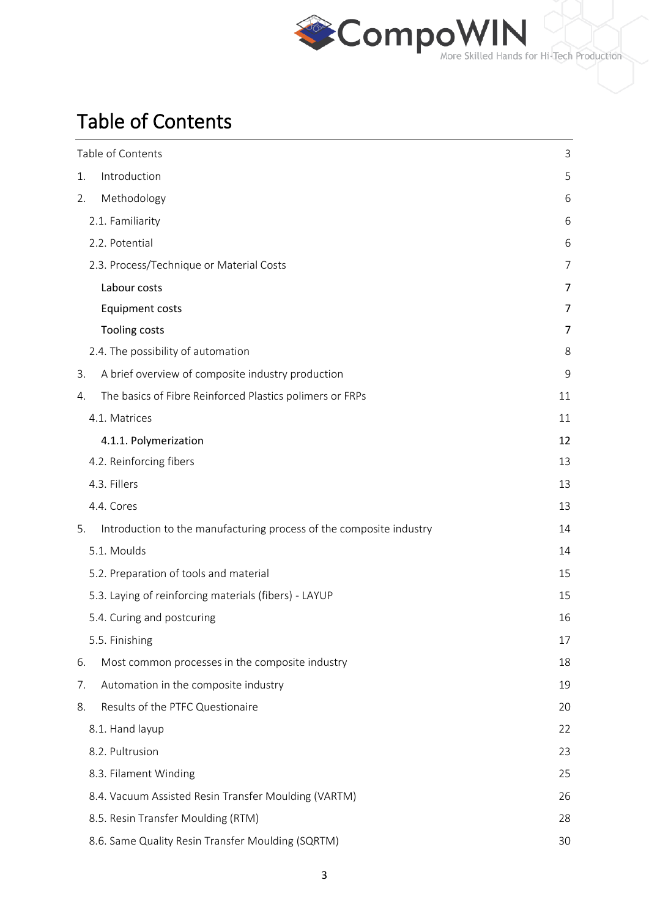

# <span id="page-2-0"></span>Table of Contents

| Table of Contents                                                         |    |
|---------------------------------------------------------------------------|----|
| Introduction<br>1.                                                        | 5  |
| Methodology<br>2.                                                         | 6  |
| 2.1. Familiarity                                                          | 6  |
| 2.2. Potential                                                            | 6  |
| 2.3. Process/Technique or Material Costs                                  | 7  |
| Labour costs                                                              | 7  |
| <b>Equipment costs</b>                                                    | 7  |
| Tooling costs                                                             | 7  |
| 2.4. The possibility of automation                                        | 8  |
| A brief overview of composite industry production<br>3.                   | 9  |
| The basics of Fibre Reinforced Plastics polimers or FRPs<br>4.            | 11 |
| 4.1. Matrices                                                             | 11 |
| 4.1.1. Polymerization                                                     | 12 |
| 4.2. Reinforcing fibers                                                   | 13 |
| 4.3. Fillers                                                              | 13 |
| 4.4. Cores                                                                | 13 |
| Introduction to the manufacturing process of the composite industry<br>5. | 14 |
| 5.1. Moulds                                                               | 14 |
| 5.2. Preparation of tools and material                                    | 15 |
| 5.3. Laying of reinforcing materials (fibers) - LAYUP                     | 15 |
| 5.4. Curing and postcuring                                                | 16 |
| 5.5. Finishing                                                            | 17 |
| Most common processes in the composite industry<br>6.                     | 18 |
| Automation in the composite industry<br>7.                                | 19 |
| Results of the PTFC Questionaire<br>8.                                    | 20 |
| 8.1. Hand layup                                                           | 22 |
| 8.2. Pultrusion                                                           | 23 |
| 8.3. Filament Winding                                                     | 25 |
| 8.4. Vacuum Assisted Resin Transfer Moulding (VARTM)                      | 26 |
| 8.5. Resin Transfer Moulding (RTM)                                        | 28 |
| 8.6. Same Quality Resin Transfer Moulding (SQRTM)                         | 30 |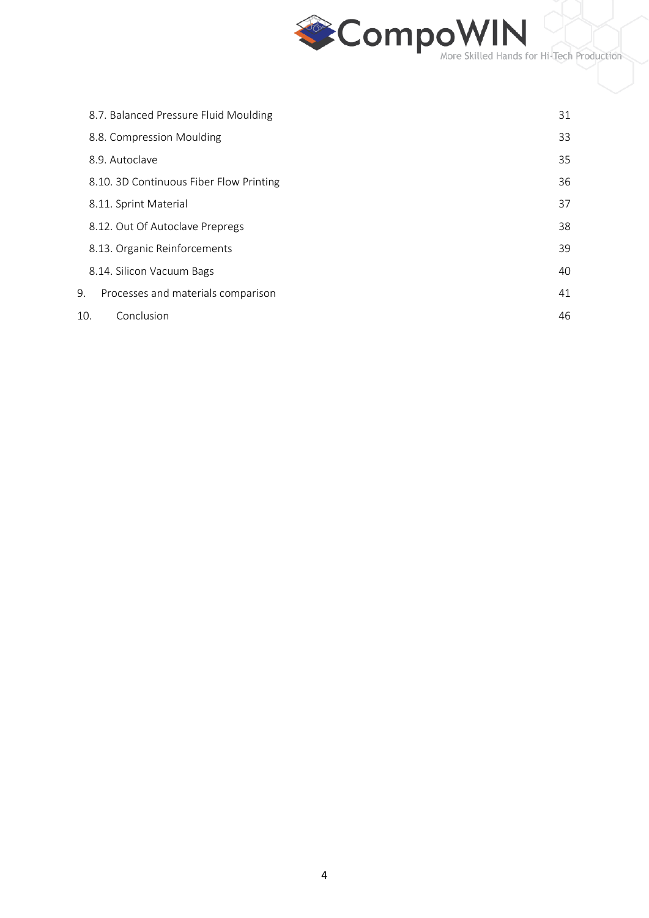

|    | 8.7. Balanced Pressure Fluid Moulding   | 31 |
|----|-----------------------------------------|----|
|    | 8.8. Compression Moulding               | 33 |
|    | 8.9. Autoclave                          | 35 |
|    | 8.10. 3D Continuous Fiber Flow Printing | 36 |
|    | 8.11. Sprint Material                   | 37 |
|    | 8.12. Out Of Autoclave Prepregs         | 38 |
|    | 8.13. Organic Reinforcements            | 39 |
|    | 8.14. Silicon Vacuum Bags               | 40 |
| 9. | Processes and materials comparison      | 41 |
|    | Conclusion<br>10.                       | 46 |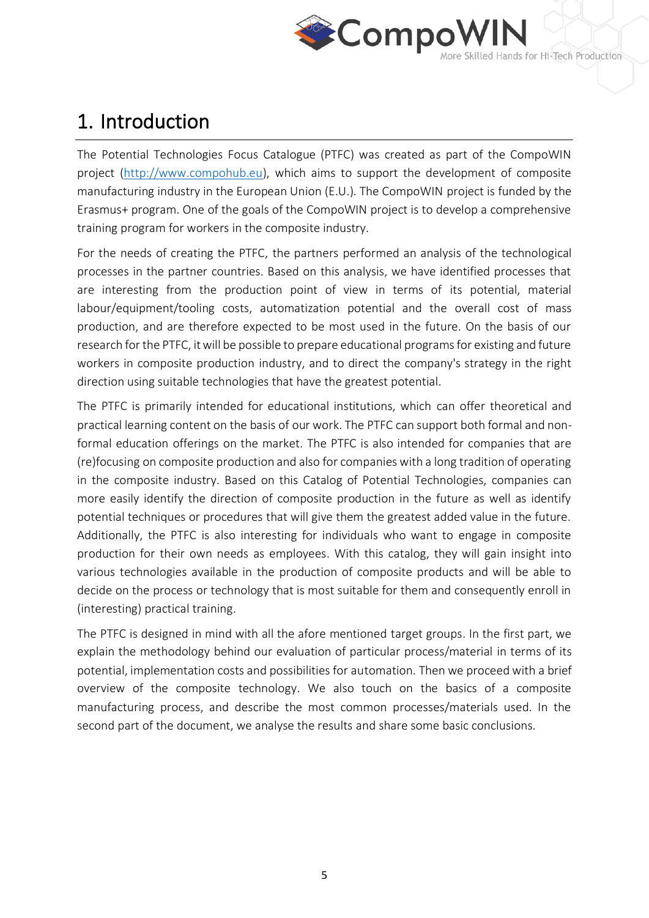

# <span id="page-4-0"></span>1. Introduction

The Potential Technologies Focus Catalogue (PTFC) was created as part of the CompoWIN project [\(http://www.compohub.eu\)](http://www.compohub.eu/), which aims to support the development of composite manufacturing industry in the European Union (E.U.). The CompoWIN project is funded by the Erasmus+ program. One of the goals of the CompoWIN project is to develop a comprehensive training program for workers in the composite industry.

For the needs of creating the PTFC, the partners performed an analysis of the technological processes in the partner countries. Based on this analysis, we have identified processes that are interesting from the production point of view in terms of its potential, material labour/equipment/tooling costs, automatization potential and the overall cost of mass production, and are therefore expected to be most used in the future. On the basis of our research for the PTFC, it will be possible to prepare educational programs for existing and future workers in composite production industry, and to direct the company's strategy in the right direction using suitable technologies that have the greatest potential.

The PTFC is primarily intended for educational institutions, which can offer theoretical and practical learning content on the basis of our work. The PTFC can support both formal and nonformal education offerings on the market. The PTFC is also intended for companies that are (re)focusing on composite production and also for companies with a long tradition of operating in the composite industry. Based on this Catalog of Potential Technologies, companies can more easily identify the direction of composite production in the future as well as identify potential techniques or procedures that will give them the greatest added value in the future. Additionally, the PTFC is also interesting for individuals who want to engage in composite production for their own needs as employees. With this catalog, they will gain insight into various technologies available in the production of composite products and will be able to decide on the process or technology that is most suitable for them and consequently enroll in (interesting) practical training.

The PTFC is designed in mind with all the afore mentioned target groups. In the first part, we explain the methodology behind our evaluation of particular process/material in terms of its potential, implementation costs and possibilities for automation. Then we proceed with a brief overview of the composite technology. We also touch on the basics of a composite manufacturing process, and describe the most common processes/materials used. In the second part of the document, we analyse the results and share some basic conclusions.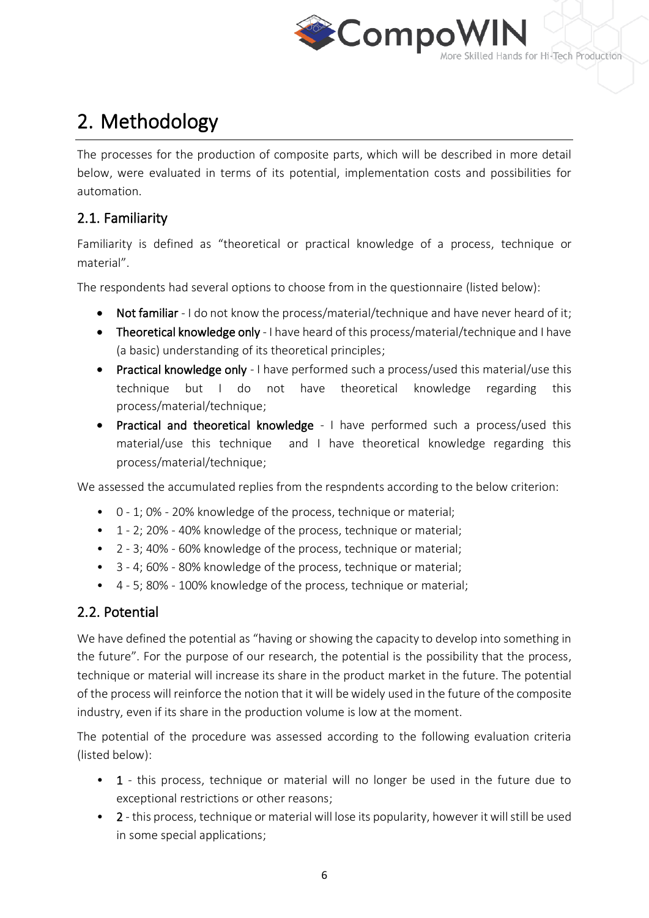

# <span id="page-5-0"></span>2. Methodology

The processes for the production of composite parts, which will be described in more detail below, were evaluated in terms of its potential, implementation costs and possibilities for automation.

## <span id="page-5-1"></span>2.1. Familiarity

Familiarity is defined as "theoretical or practical knowledge of a process, technique or material".

The respondents had several options to choose from in the questionnaire (listed below):

- Not familiar I do not know the process/material/technique and have never heard of it;
- Theoretical knowledge only I have heard of this process/material/technique and I have (a basic) understanding of its theoretical principles;
- Practical knowledge only I have performed such a process/used this material/use this technique but I do not have theoretical knowledge regarding this process/material/technique;
- Practical and theoretical knowledge I have performed such a process/used this material/use this technique and I have theoretical knowledge regarding this process/material/technique;

We assessed the accumulated replies from the respndents according to the below criterion:

- 0 1; 0% 20% knowledge of the process, technique or material;
- 1 2; 20% 40% knowledge of the process, technique or material;
- 2 3; 40% 60% knowledge of the process, technique or material;
- 3 4; 60% 80% knowledge of the process, technique or material;
- 4 5; 80% 100% knowledge of the process, technique or material;

## <span id="page-5-2"></span>2.2. Potential

We have defined the potential as "having or showing the capacity to develop into something in the future". For the purpose of our research, the potential is the possibility that the process, technique or material will increase its share in the product market in the future. The potential of the process will reinforce the notion that it will be widely used in the future of the composite industry, even if its share in the production volume is low at the moment.

The potential of the procedure was assessed according to the following evaluation criteria (listed below):

- 1 this process, technique or material will no longer be used in the future due to exceptional restrictions or other reasons;
- 2 this process, technique or material will lose its popularity, however it will still be used in some special applications;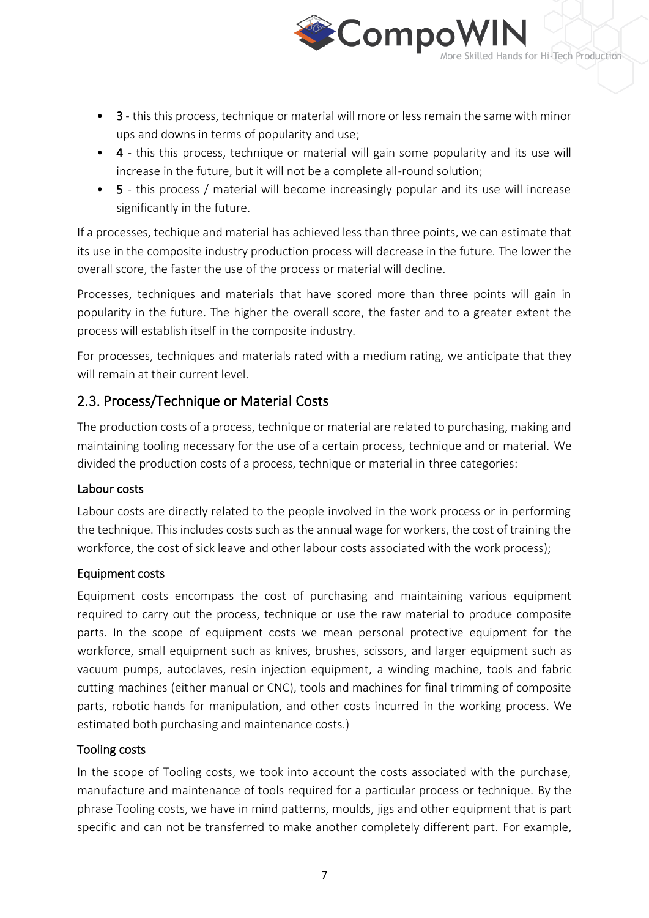

- 3 this this process, technique or material will more or less remain the same with minor ups and downs in terms of popularity and use;
- 4 this this process, technique or material will gain some popularity and its use will increase in the future, but it will not be a complete all-round solution;
- 5 this process / material will become increasingly popular and its use will increase significantly in the future.

If a processes, techique and material has achieved less than three points, we can estimate that its use in the composite industry production process will decrease in the future. The lower the overall score, the faster the use of the process or material will decline.

Processes, techniques and materials that have scored more than three points will gain in popularity in the future. The higher the overall score, the faster and to a greater extent the process will establish itself in the composite industry.

For processes, techniques and materials rated with a medium rating, we anticipate that they will remain at their current level.

## <span id="page-6-0"></span>2.3. Process/Technique or Material Costs

The production costs of a process, technique or material are related to purchasing, making and maintaining tooling necessary for the use of a certain process, technique and or material. We divided the production costs of a process, technique or material in three categories:

#### <span id="page-6-1"></span>Labour costs

Labour costs are directly related to the people involved in the work process or in performing the technique. This includes costs such as the annual wage for workers, the cost of training the workforce, the cost of sick leave and other labour costs associated with the work process);

#### <span id="page-6-2"></span>Equipment costs

Equipment costs encompass the cost of purchasing and maintaining various equipment required to carry out the process, technique or use the raw material to produce composite parts. In the scope of equipment costs we mean personal protective equipment for the workforce, small equipment such as knives, brushes, scissors, and larger equipment such as vacuum pumps, autoclaves, resin injection equipment, a winding machine, tools and fabric cutting machines (either manual or CNC), tools and machines for final trimming of composite parts, robotic hands for manipulation, and other costs incurred in the working process. We estimated both purchasing and maintenance costs.)

#### <span id="page-6-3"></span>Tooling costs

In the scope of Tooling costs, we took into account the costs associated with the purchase, manufacture and maintenance of tools required for a particular process or technique. By the phrase Tooling costs, we have in mind patterns, moulds, jigs and other equipment that is part specific and can not be transferred to make another completely different part. For example,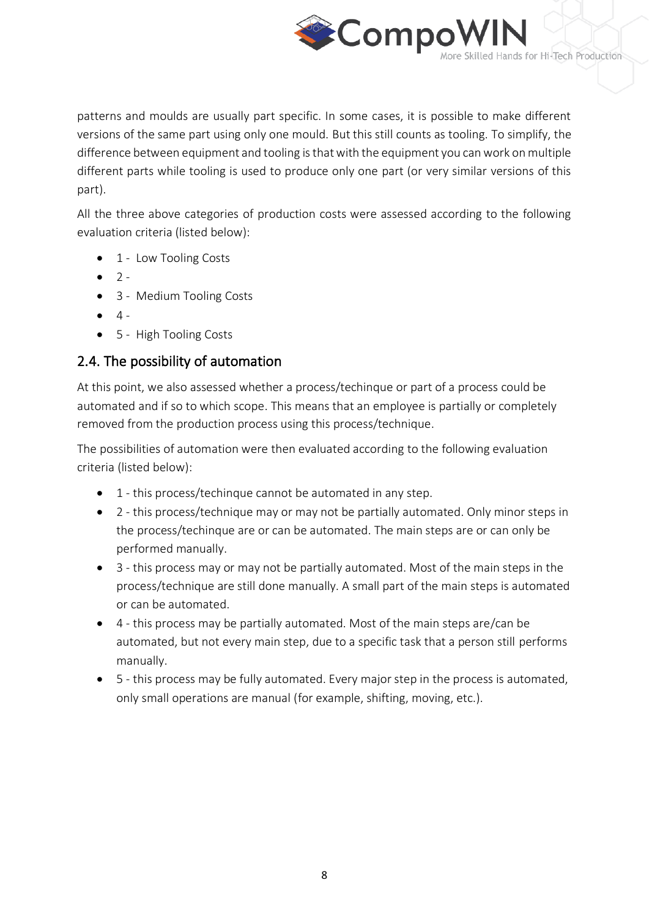

patterns and moulds are usually part specific. In some cases, it is possible to make different versions of the same part using only one mould. But this still counts as tooling. To simplify, the difference between equipment and tooling is that with the equipment you can work on multiple different parts while tooling is used to produce only one part (or very similar versions of this part).

All the three above categories of production costs were assessed according to the following evaluation criteria (listed below):

- 1 Low Tooling Costs
- $\bullet$  2 -
- 3 Medium Tooling Costs
- $4 -$
- 5 High Tooling Costs

#### <span id="page-7-0"></span>2.4. The possibility of automation

At this point, we also assessed whether a process/techinque or part of a process could be automated and if so to which scope. This means that an employee is partially or completely removed from the production process using this process/technique.

The possibilities of automation were then evaluated according to the following evaluation criteria (listed below):

- 1 this process/techinque cannot be automated in any step.
- 2 this process/technique may or may not be partially automated. Only minor steps in the process/techinque are or can be automated. The main steps are or can only be performed manually.
- 3 this process may or may not be partially automated. Most of the main steps in the process/technique are still done manually. A small part of the main steps is automated or can be automated.
- 4 this process may be partially automated. Most of the main steps are/can be automated, but not every main step, due to a specific task that a person still performs manually.
- 5 this process may be fully automated. Every major step in the process is automated, only small operations are manual (for example, shifting, moving, etc.).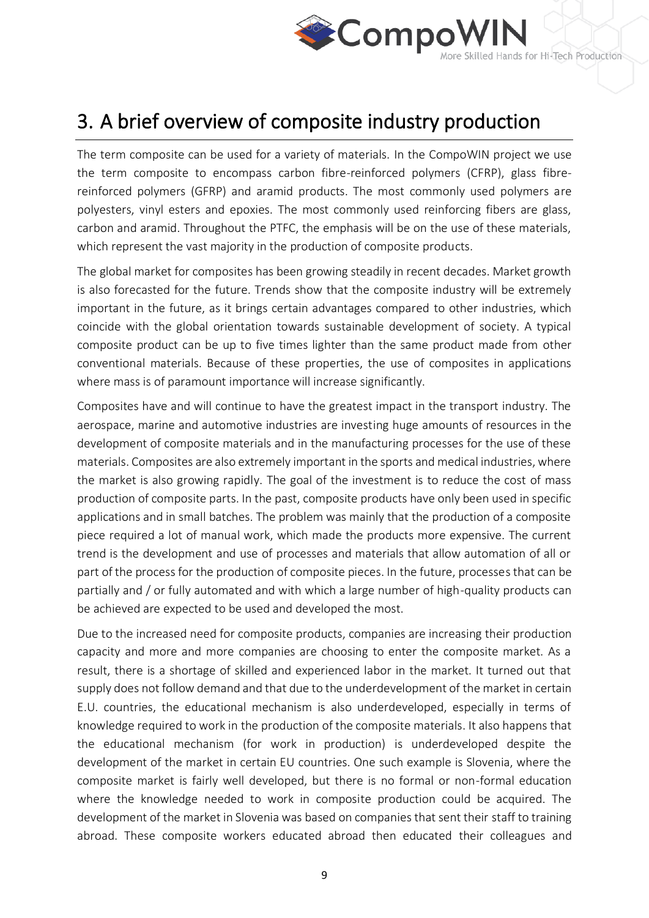

# <span id="page-8-0"></span>3. A brief overview of composite industry production

The term composite can be used for a variety of materials. In the CompoWIN project we use the term composite to encompass carbon fibre-reinforced polymers (CFRP), glass fibrereinforced polymers (GFRP) and aramid products. The most commonly used polymers are polyesters, vinyl esters and epoxies. The most commonly used reinforcing fibers are glass, carbon and aramid. Throughout the PTFC, the emphasis will be on the use of these materials, which represent the vast majority in the production of composite products.

The global market for composites has been growing steadily in recent decades. Market growth is also forecasted for the future. Trends show that the composite industry will be extremely important in the future, as it brings certain advantages compared to other industries, which coincide with the global orientation towards sustainable development of society. A typical composite product can be up to five times lighter than the same product made from other conventional materials. Because of these properties, the use of composites in applications where mass is of paramount importance will increase significantly.

Composites have and will continue to have the greatest impact in the transport industry. The aerospace, marine and automotive industries are investing huge amounts of resources in the development of composite materials and in the manufacturing processes for the use of these materials. Composites are also extremely important in the sports and medical industries, where the market is also growing rapidly. The goal of the investment is to reduce the cost of mass production of composite parts. In the past, composite products have only been used in specific applications and in small batches. The problem was mainly that the production of a composite piece required a lot of manual work, which made the products more expensive. The current trend is the development and use of processes and materials that allow automation of all or part of the process for the production of composite pieces. In the future, processes that can be partially and / or fully automated and with which a large number of high-quality products can be achieved are expected to be used and developed the most.

Due to the increased need for composite products, companies are increasing their production capacity and more and more companies are choosing to enter the composite market. As a result, there is a shortage of skilled and experienced labor in the market. It turned out that supply does not follow demand and that due to the underdevelopment of the market in certain E.U. countries, the educational mechanism is also underdeveloped, especially in terms of knowledge required to work in the production of the composite materials. It also happens that the educational mechanism (for work in production) is underdeveloped despite the development of the market in certain EU countries. One such example is Slovenia, where the composite market is fairly well developed, but there is no formal or non-formal education where the knowledge needed to work in composite production could be acquired. The development of the market in Slovenia was based on companies that sent their staff to training abroad. These composite workers educated abroad then educated their colleagues and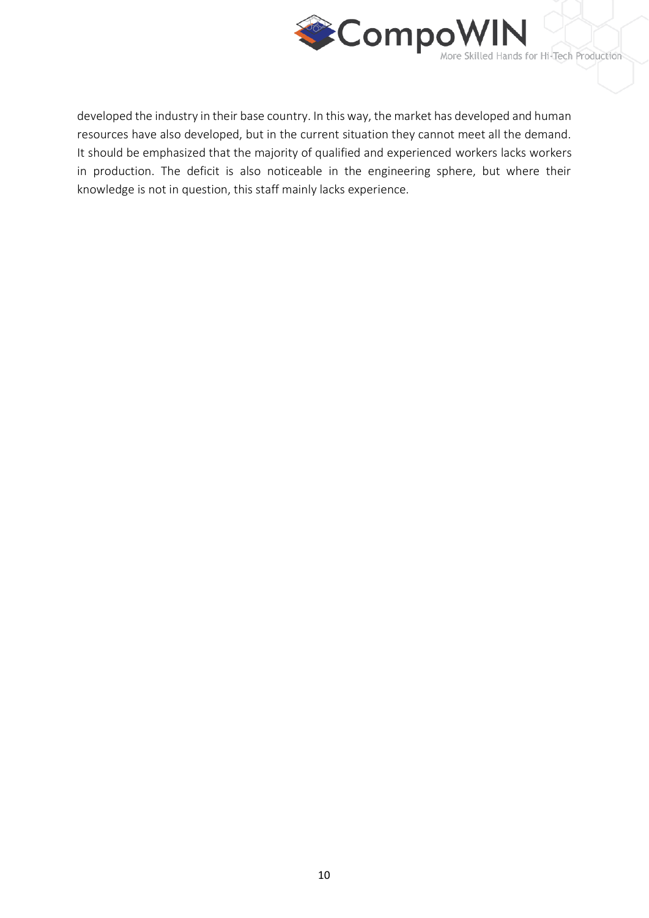

developed the industry in their base country. In this way, the market has developed and human resources have also developed, but in the current situation they cannot meet all the demand. It should be emphasized that the majority of qualified and experienced workers lacks workers in production. The deficit is also noticeable in the engineering sphere, but where their knowledge is not in question, this staff mainly lacks experience.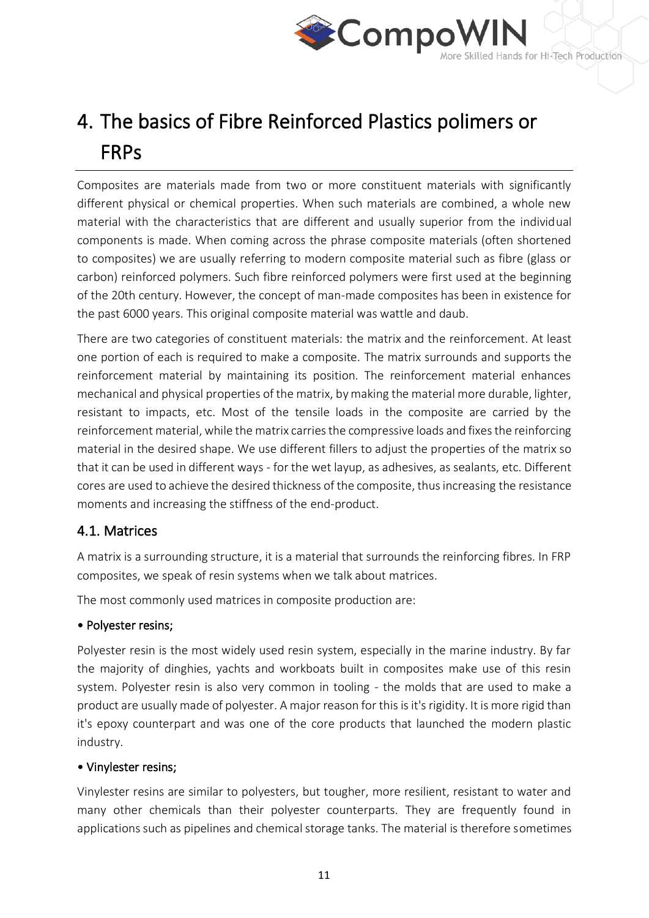

# <span id="page-10-0"></span>4. The basics of Fibre Reinforced Plastics polimers or FRPs

Composites are materials made from two or more constituent materials with significantly different physical or chemical properties. When such materials are combined, a whole new material with the characteristics that are different and usually superior from the individual components is made. When coming across the phrase composite materials (often shortened to composites) we are usually referring to modern composite material such as fibre (glass or carbon) reinforced polymers. Such fibre reinforced polymers were first used at the beginning of the 20th century. However, the concept of man-made composites has been in existence for the past 6000 years. This original composite material was wattle and daub.

There are two categories of constituent materials: the matrix and the reinforcement. At least one portion of each is required to make a composite. The matrix surrounds and supports the reinforcement material by maintaining its position. The reinforcement material enhances mechanical and physical properties of the matrix, by making the material more durable, lighter, resistant to impacts, etc. Most of the tensile loads in the composite are carried by the reinforcement material, while the matrix carries the compressive loads and fixes the reinforcing material in the desired shape. We use different fillers to adjust the properties of the matrix so that it can be used in different ways - for the wet layup, as adhesives, as sealants, etc. Different cores are used to achieve the desired thickness of the composite, thus increasing the resistance moments and increasing the stiffness of the end-product.

#### <span id="page-10-1"></span>4.1. Matrices

A matrix is a surrounding structure, it is a material that surrounds the reinforcing fibres. In FRP composites, we speak of resin systems when we talk about matrices.

The most commonly used matrices in composite production are:

#### • Polyester resins;

Polyester resin is the most widely used resin system, especially in the marine industry. By far the majority of dinghies, yachts and workboats built in composites make use of this resin system. Polyester resin is also very common in tooling - the molds that are used to make a product are usually made of polyester. A major reason for this is it's rigidity. It is more rigid than it's epoxy counterpart and was one of the core products that launched the modern plastic industry.

#### • Vinylester resins;

Vinylester resins are similar to polyesters, but tougher, more resilient, resistant to water and many other chemicals than their polyester counterparts. They are frequently found in applications such as pipelines and chemical storage tanks. The material is therefore sometimes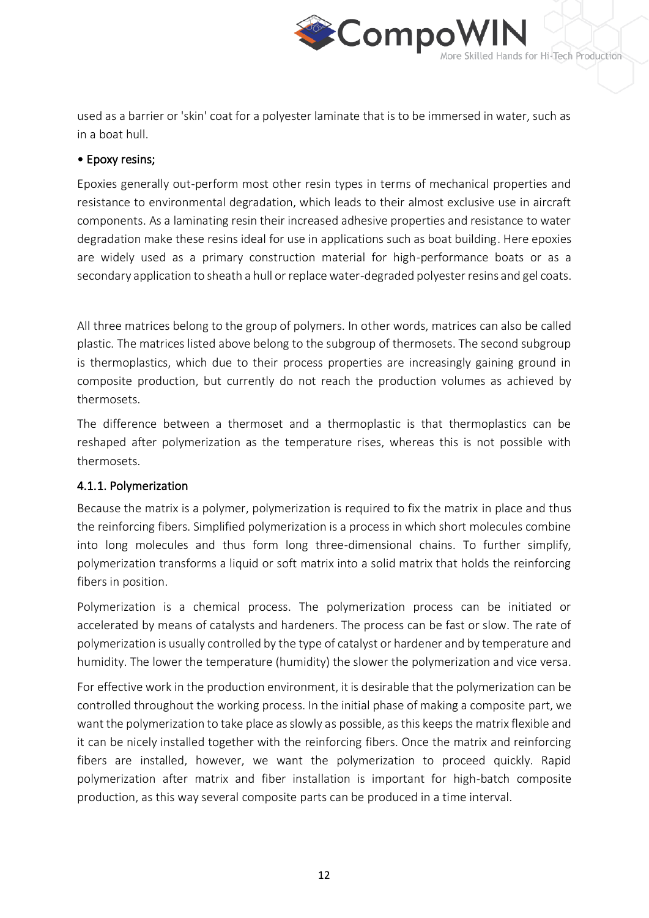

used as a barrier or 'skin' coat for a polyester laminate that is to be immersed in water, such as in a boat hull.

#### • Epoxy resins;

Epoxies generally out-perform most other resin types in terms of mechanical properties and resistance to environmental degradation, which leads to their almost exclusive use in aircraft components. As a laminating resin their increased adhesive properties and resistance to water degradation make these resins ideal for use in applications such as boat building. Here epoxies are widely used as a primary construction material for high-performance boats or as a secondary application to sheath a hull or replace water-degraded polyester resins and gel coats.

All three matrices belong to the group of polymers. In other words, matrices can also be called plastic. The matrices listed above belong to the subgroup of thermosets. The second subgroup is thermoplastics, which due to their process properties are increasingly gaining ground in composite production, but currently do not reach the production volumes as achieved by thermosets.

The difference between a thermoset and a thermoplastic is that thermoplastics can be reshaped after polymerization as the temperature rises, whereas this is not possible with thermosets.

#### <span id="page-11-0"></span>4.1.1. Polymerization

Because the matrix is a polymer, polymerization is required to fix the matrix in place and thus the reinforcing fibers. Simplified polymerization is a process in which short molecules combine into long molecules and thus form long three-dimensional chains. To further simplify, polymerization transforms a liquid or soft matrix into a solid matrix that holds the reinforcing fibers in position.

Polymerization is a chemical process. The polymerization process can be initiated or accelerated by means of catalysts and hardeners. The process can be fast or slow. The rate of polymerization is usually controlled by the type of catalyst or hardener and by temperature and humidity. The lower the temperature (humidity) the slower the polymerization and vice versa.

For effective work in the production environment, it is desirable that the polymerization can be controlled throughout the working process. In the initial phase of making a composite part, we want the polymerization to take place as slowly as possible, as this keeps the matrix flexible and it can be nicely installed together with the reinforcing fibers. Once the matrix and reinforcing fibers are installed, however, we want the polymerization to proceed quickly. Rapid polymerization after matrix and fiber installation is important for high-batch composite production, as this way several composite parts can be produced in a time interval.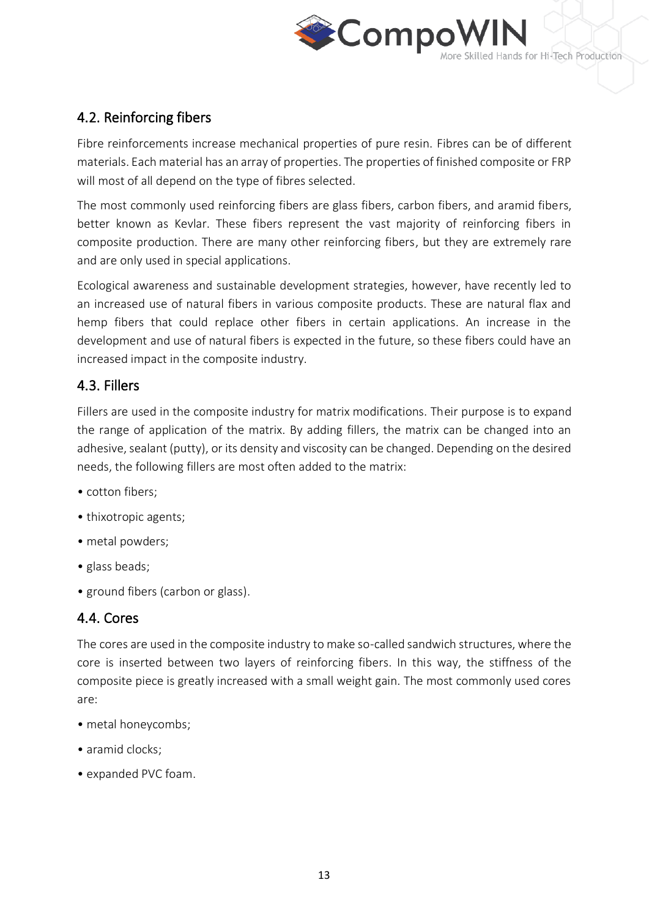

#### <span id="page-12-0"></span>4.2. Reinforcing fibers

Fibre reinforcements increase mechanical properties of pure resin. Fibres can be of different materials. Each material has an array of properties. The properties of finished composite or FRP will most of all depend on the type of fibres selected.

The most commonly used reinforcing fibers are glass fibers, carbon fibers, and aramid fibers, better known as Kevlar. These fibers represent the vast majority of reinforcing fibers in composite production. There are many other reinforcing fibers, but they are extremely rare and are only used in special applications.

Ecological awareness and sustainable development strategies, however, have recently led to an increased use of natural fibers in various composite products. These are natural flax and hemp fibers that could replace other fibers in certain applications. An increase in the development and use of natural fibers is expected in the future, so these fibers could have an increased impact in the composite industry.

#### <span id="page-12-1"></span>4.3. Fillers

Fillers are used in the composite industry for matrix modifications. Their purpose is to expand the range of application of the matrix. By adding fillers, the matrix can be changed into an adhesive, sealant (putty), or its density and viscosity can be changed. Depending on the desired needs, the following fillers are most often added to the matrix:

- cotton fibers;
- thixotropic agents;
- metal powders;
- glass beads;
- ground fibers (carbon or glass).

## <span id="page-12-2"></span>4.4. Cores

The cores are used in the composite industry to make so-called sandwich structures, where the core is inserted between two layers of reinforcing fibers. In this way, the stiffness of the composite piece is greatly increased with a small weight gain. The most commonly used cores are:

- metal honeycombs;
- aramid clocks:
- expanded PVC foam.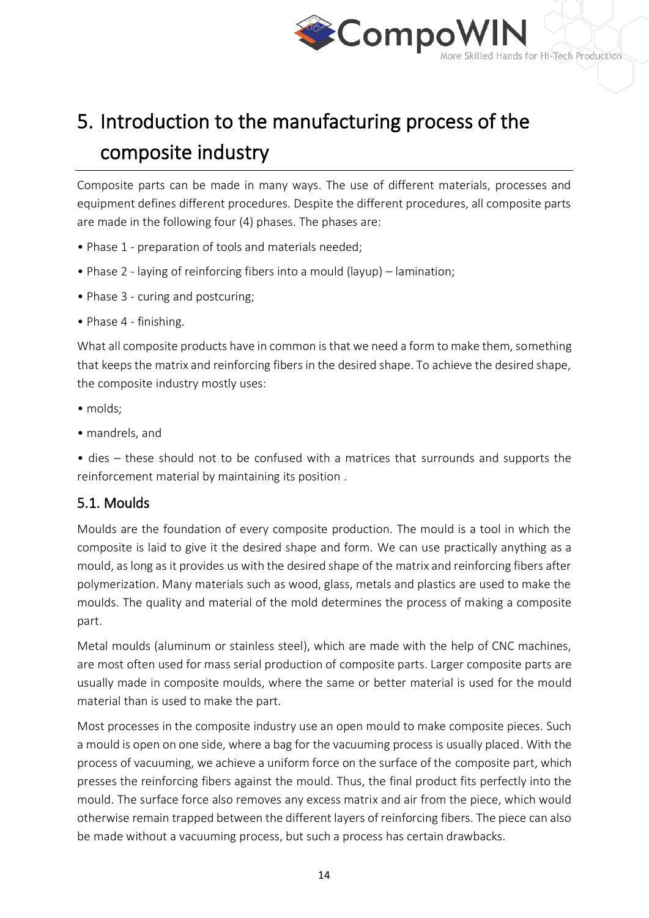

# <span id="page-13-0"></span>5. Introduction to the manufacturing process of the composite industry

Composite parts can be made in many ways. The use of different materials, processes and equipment defines different procedures. Despite the different procedures, all composite parts are made in the following four (4) phases. The phases are:

- Phase 1 preparation of tools and materials needed;
- Phase 2 laying of reinforcing fibers into a mould (layup) lamination;
- Phase 3 curing and postcuring;
- Phase 4 finishing.

What all composite products have in common is that we need a form to make them, something that keeps the matrix and reinforcing fibers in the desired shape. To achieve the desired shape, the composite industry mostly uses:

- molds;
- mandrels, and

• dies – these should not to be confused with a matrices that surrounds and supports the reinforcement material by maintaining its position .

#### <span id="page-13-1"></span>5.1. Moulds

Moulds are the foundation of every composite production. The mould is a tool in which the composite is laid to give it the desired shape and form. We can use practically anything as a mould, as long as it provides us with the desired shape of the matrix and reinforcing fibers after polymerization. Many materials such as wood, glass, metals and plastics are used to make the moulds. The quality and material of the mold determines the process of making a composite part.

Metal moulds (aluminum or stainless steel), which are made with the help of CNC machines, are most often used for mass serial production of composite parts. Larger composite parts are usually made in composite moulds, where the same or better material is used for the mould material than is used to make the part.

Most processes in the composite industry use an open mould to make composite pieces. Such a mould is open on one side, where a bag for the vacuuming process is usually placed. With the process of vacuuming, we achieve a uniform force on the surface of the composite part, which presses the reinforcing fibers against the mould. Thus, the final product fits perfectly into the mould. The surface force also removes any excess matrix and air from the piece, which would otherwise remain trapped between the different layers of reinforcing fibers. The piece can also be made without a vacuuming process, but such a process has certain drawbacks.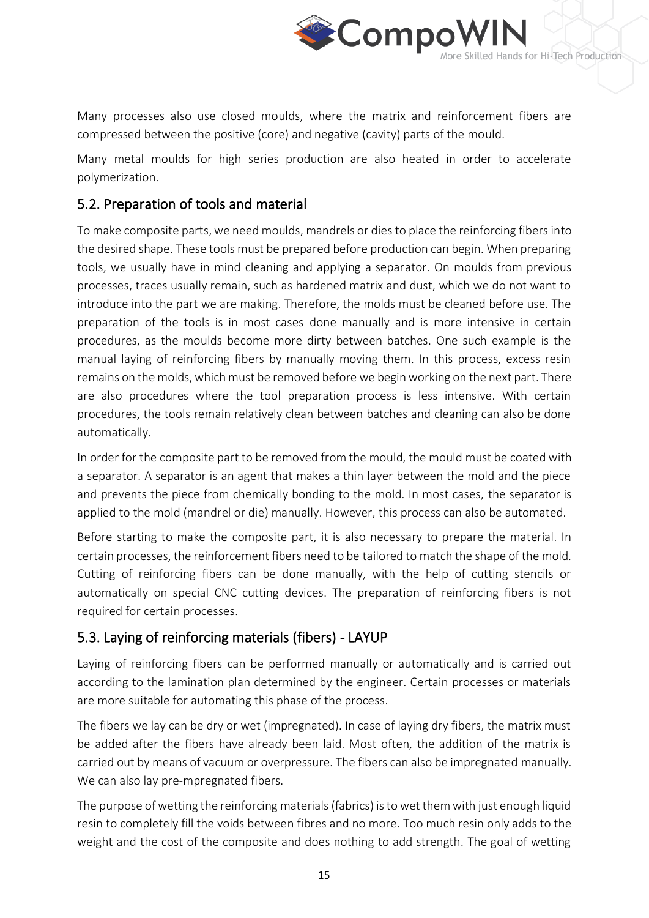

Many processes also use closed moulds, where the matrix and reinforcement fibers are compressed between the positive (core) and negative (cavity) parts of the mould.

Many metal moulds for high series production are also heated in order to accelerate polymerization.

#### <span id="page-14-0"></span>5.2. Preparation of tools and material

To make composite parts, we need moulds, mandrels or dies to place the reinforcing fibers into the desired shape. These tools must be prepared before production can begin. When preparing tools, we usually have in mind cleaning and applying a separator. On moulds from previous processes, traces usually remain, such as hardened matrix and dust, which we do not want to introduce into the part we are making. Therefore, the molds must be cleaned before use. The preparation of the tools is in most cases done manually and is more intensive in certain procedures, as the moulds become more dirty between batches. One such example is the manual laying of reinforcing fibers by manually moving them. In this process, excess resin remains on the molds, which must be removed before we begin working on the next part. There are also procedures where the tool preparation process is less intensive. With certain procedures, the tools remain relatively clean between batches and cleaning can also be done automatically.

In order for the composite part to be removed from the mould, the mould must be coated with a separator. A separator is an agent that makes a thin layer between the mold and the piece and prevents the piece from chemically bonding to the mold. In most cases, the separator is applied to the mold (mandrel or die) manually. However, this process can also be automated.

Before starting to make the composite part, it is also necessary to prepare the material. In certain processes, the reinforcement fibers need to be tailored to match the shape of the mold. Cutting of reinforcing fibers can be done manually, with the help of cutting stencils or automatically on special CNC cutting devices. The preparation of reinforcing fibers is not required for certain processes.

## <span id="page-14-1"></span>5.3. Laying of reinforcing materials (fibers) - LAYUP

Laying of reinforcing fibers can be performed manually or automatically and is carried out according to the lamination plan determined by the engineer. Certain processes or materials are more suitable for automating this phase of the process.

The fibers we lay can be dry or wet (impregnated). In case of laying dry fibers, the matrix must be added after the fibers have already been laid. Most often, the addition of the matrix is carried out by means of vacuum or overpressure. The fibers can also be impregnated manually. We can also lay pre-mpregnated fibers.

The purpose of wetting the reinforcing materials (fabrics) is to wet them with just enough liquid resin to completely fill the voids between fibres and no more. Too much resin only adds to the weight and the cost of the composite and does nothing to add strength. The goal of wetting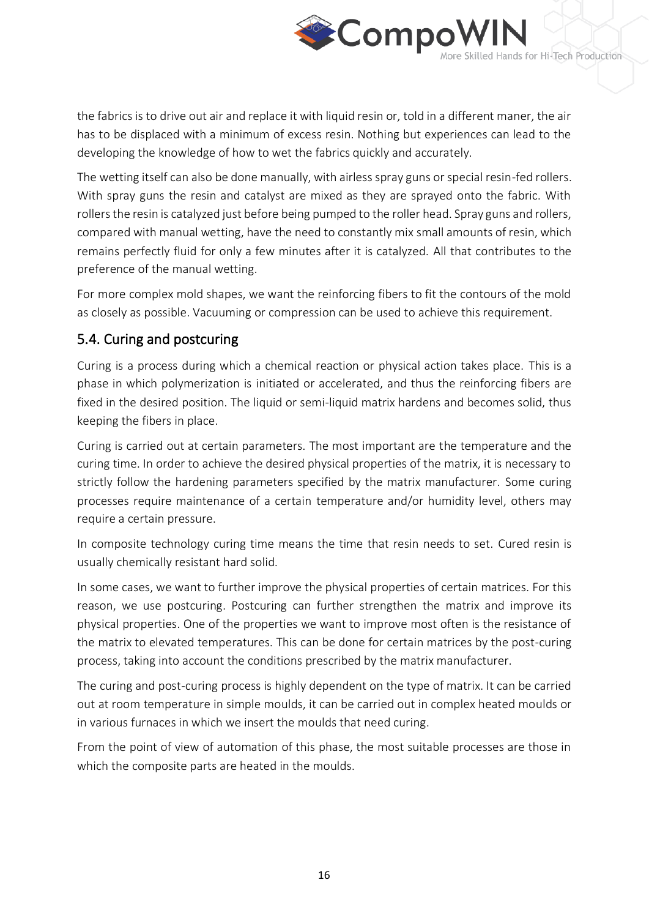

the fabrics is to drive out air and replace it with liquid resin or, told in a different maner, the air has to be displaced with a minimum of excess resin. Nothing but experiences can lead to the developing the knowledge of how to wet the fabrics quickly and accurately.

The wetting itself can also be done manually, with airless spray guns or special resin-fed rollers. With spray guns the resin and catalyst are mixed as they are sprayed onto the fabric. With rollers the resin is catalyzed just before being pumped to the roller head. Spray guns and rollers, compared with manual wetting, have the need to constantly mix small amounts of resin, which remains perfectly fluid for only a few minutes after it is catalyzed. All that contributes to the preference of the manual wetting.

For more complex mold shapes, we want the reinforcing fibers to fit the contours of the mold as closely as possible. Vacuuming or compression can be used to achieve this requirement.

## <span id="page-15-0"></span>5.4. Curing and postcuring

Curing is a process during which a chemical reaction or physical action takes place. This is a phase in which polymerization is initiated or accelerated, and thus the reinforcing fibers are fixed in the desired position. The liquid or semi-liquid matrix hardens and becomes solid, thus keeping the fibers in place.

Curing is carried out at certain parameters. The most important are the temperature and the curing time. In order to achieve the desired physical properties of the matrix, it is necessary to strictly follow the hardening parameters specified by the matrix manufacturer. Some curing processes require maintenance of a certain temperature and/or humidity level, others may require a certain pressure.

In composite technology curing time means the time that resin needs to set. Cured resin is usually chemically resistant hard solid.

In some cases, we want to further improve the physical properties of certain matrices. For this reason, we use postcuring. Postcuring can further strengthen the matrix and improve its physical properties. One of the properties we want to improve most often is the resistance of the matrix to elevated temperatures. This can be done for certain matrices by the post-curing process, taking into account the conditions prescribed by the matrix manufacturer.

The curing and post-curing process is highly dependent on the type of matrix. It can be carried out at room temperature in simple moulds, it can be carried out in complex heated moulds or in various furnaces in which we insert the moulds that need curing.

From the point of view of automation of this phase, the most suitable processes are those in which the composite parts are heated in the moulds.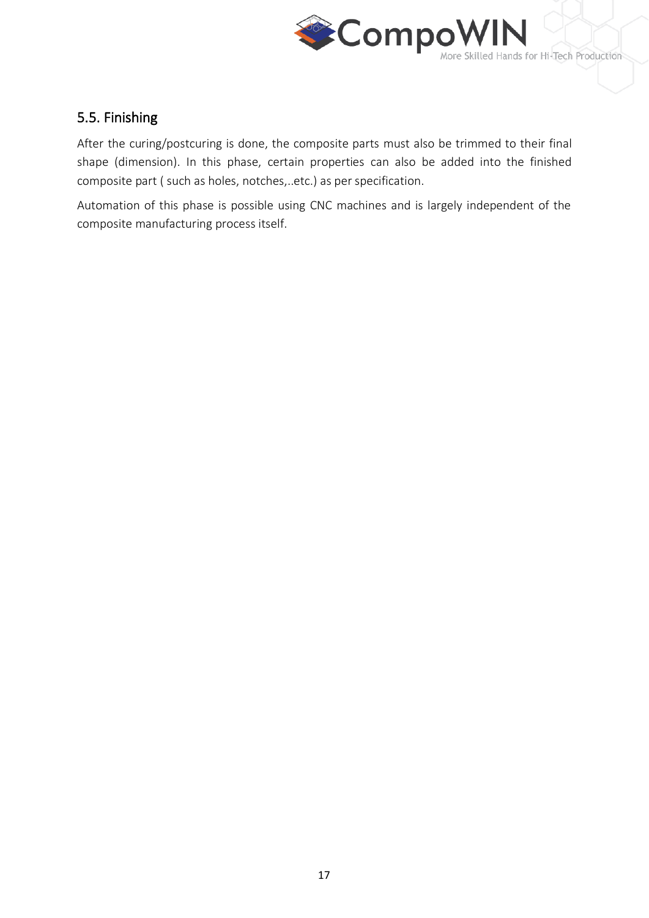

#### <span id="page-16-0"></span>5.5. Finishing

After the curing/postcuring is done, the composite parts must also be trimmed to their final shape (dimension). In this phase, certain properties can also be added into the finished composite part ( such as holes, notches,..etc.) as per specification.

Automation of this phase is possible using CNC machines and is largely independent of the composite manufacturing process itself.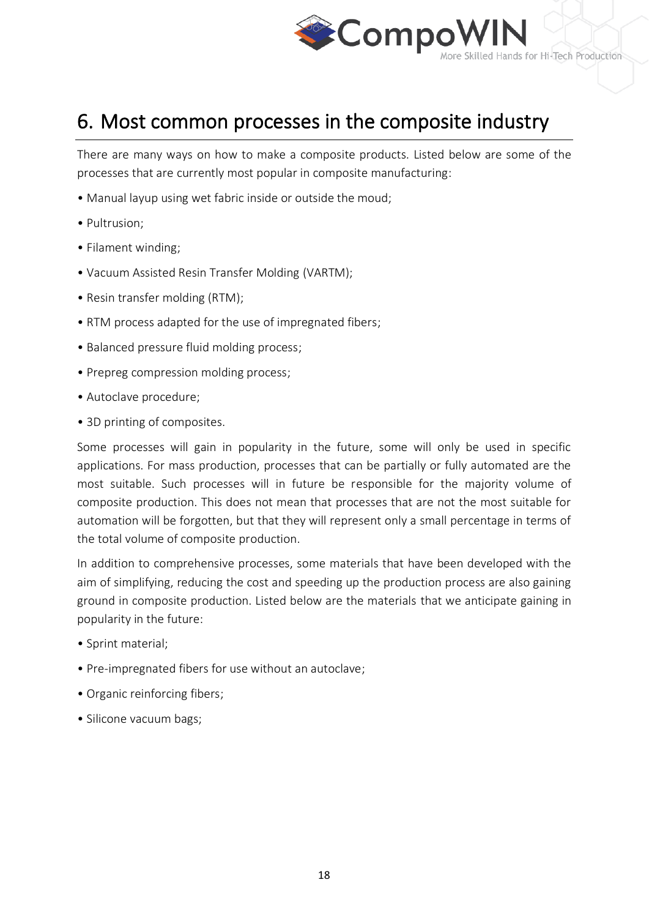

# <span id="page-17-0"></span>6. Most common processes in the composite industry

There are many ways on how to make a composite products. Listed below are some of the processes that are currently most popular in composite manufacturing:

- Manual layup using wet fabric inside or outside the moud;
- Pultrusion;
- Filament winding;
- Vacuum Assisted Resin Transfer Molding (VARTM);
- Resin transfer molding (RTM);
- RTM process adapted for the use of impregnated fibers;
- Balanced pressure fluid molding process;
- Prepreg compression molding process;
- Autoclave procedure;
- 3D printing of composites.

Some processes will gain in popularity in the future, some will only be used in specific applications. For mass production, processes that can be partially or fully automated are the most suitable. Such processes will in future be responsible for the majority volume of composite production. This does not mean that processes that are not the most suitable for automation will be forgotten, but that they will represent only a small percentage in terms of the total volume of composite production.

In addition to comprehensive processes, some materials that have been developed with the aim of simplifying, reducing the cost and speeding up the production process are also gaining ground in composite production. Listed below are the materials that we anticipate gaining in popularity in the future:

- Sprint material;
- Pre-impregnated fibers for use without an autoclave;
- Organic reinforcing fibers;
- Silicone vacuum bags;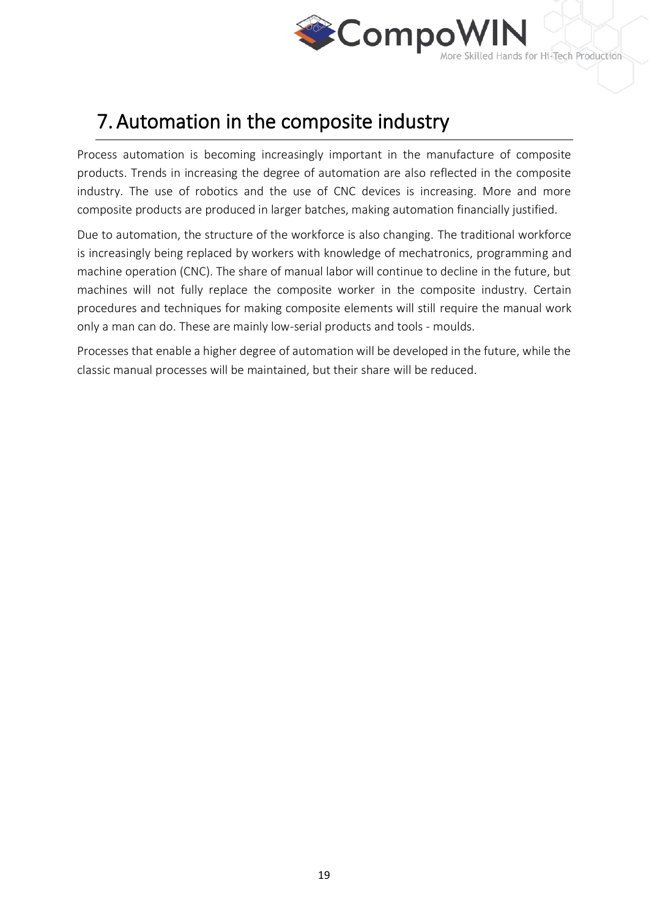

# <span id="page-18-0"></span>7. Automation in the composite industry

Process automation is becoming increasingly important in the manufacture of composite products. Trends in increasing the degree of automation are also reflected in the composite industry. The use of robotics and the use of CNC devices is increasing. More and more composite products are produced in larger batches, making automation financially justified.

Due to automation, the structure of the workforce is also changing. The traditional workforce is increasingly being replaced by workers with knowledge of mechatronics, programming and machine operation (CNC). The share of manual labor will continue to decline in the future, but machines will not fully replace the composite worker in the composite industry. Certain procedures and techniques for making composite elements will still require the manual work only a man can do. These are mainly low-serial products and tools - moulds.

Processes that enable a higher degree of automation will be developed in the future, while the classic manual processes will be maintained, but their share will be reduced.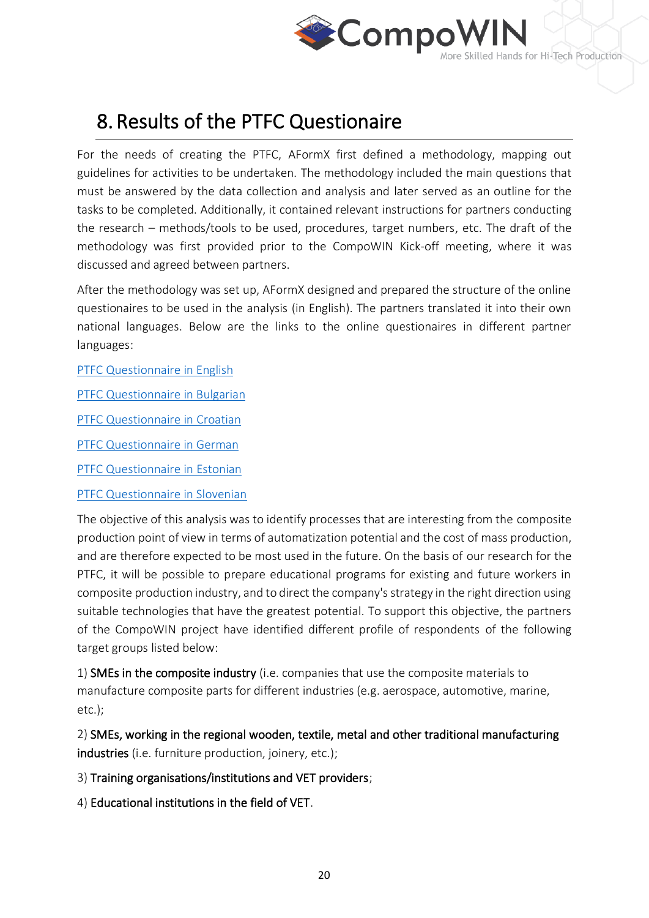

# <span id="page-19-0"></span>8. Results of the PTFC Questionaire

For the needs of creating the PTFC, AFormX first defined a methodology, mapping out guidelines for activities to be undertaken. The methodology included the main questions that must be answered by the data collection and analysis and later served as an outline for the tasks to be completed. Additionally, it contained relevant instructions for partners conducting the research – methods/tools to be used, procedures, target numbers, etc. The draft of the methodology was first provided prior to the CompoWIN Kick-off meeting, where it was discussed and agreed between partners.

After the methodology was set up, AFormX designed and prepared the structure of the online questionaires to be used in the analysis (in English). The partners translated it into their own national languages. Below are the links to the online questionaires in different partner languages:

[PTFC Questionnaire in English](https://forms.gle/FMtWC5ki1uCZ3RKFA)

[PTFC Questionnaire in Bulgarian](https://docs.google.com/forms/d/e/1FAIpQLSeIYqW-bDYPTPVdSs6tB4M3YHwdwLbXQnv6v5mlsd9on4VR8A/viewform)

[PTFC Questionnaire in Croatian](https://forms.gle/fZxfWKhvEeVHkUn96)

[PTFC Questionnaire in German](https://forms.gle/uJYdNgHgXBvJA9WL8)

[PTFC Questionnaire in Estonian](https://forms.gle/VHkGPfyiXybFRjgu8)

#### [PTFC Questionnaire in Slovenian](https://forms.gle/E2xMB23ZmTL6xGUj7)

The objective of this analysis was to identify processes that are interesting from the composite production point of view in terms of automatization potential and the cost of mass production, and are therefore expected to be most used in the future. On the basis of our research for the PTFC, it will be possible to prepare educational programs for existing and future workers in composite production industry, and to direct the company's strategy in the right direction using suitable technologies that have the greatest potential. To support this objective, the partners of the CompoWIN project have identified different profile of respondents of the following target groups listed below:

1) SMEs in the composite industry (i.e. companies that use the composite materials to manufacture composite parts for different industries (e.g. aerospace, automotive, marine, etc.);

2) SMEs, working in the regional wooden, textile, metal and other traditional manufacturing industries (i.e. furniture production, joinery, etc.);

3) Training organisations/institutions and VET providers;

4) Educational institutions in the field of VET.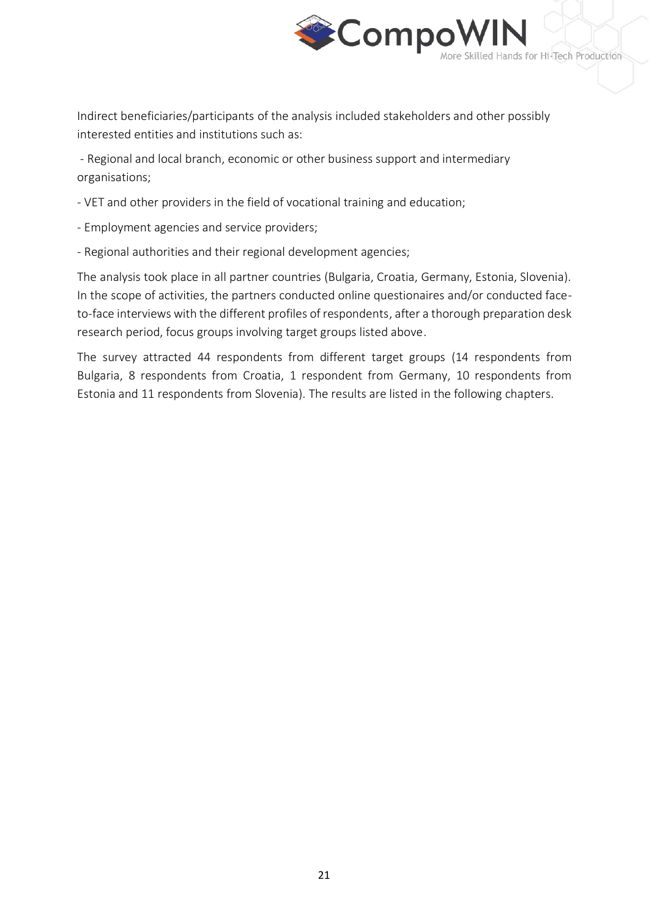

Indirect beneficiaries/participants of the analysis included stakeholders and other possibly interested entities and institutions such as:

- Regional and local branch, economic or other business support and intermediary organisations;

- VET and other providers in the field of vocational training and education;

- Employment agencies and service providers;
- Regional authorities and their regional development agencies;

The analysis took place in all partner countries (Bulgaria, Croatia, Germany, Estonia, Slovenia). In the scope of activities, the partners conducted online questionaires and/or conducted faceto-face interviews with the different profiles of respondents, after a thorough preparation desk research period, focus groups involving target groups listed above.

The survey attracted 44 respondents from different target groups (14 respondents from Bulgaria, 8 respondents from Croatia, 1 respondent from Germany, 10 respondents from Estonia and 11 respondents from Slovenia). The results are listed in the following chapters.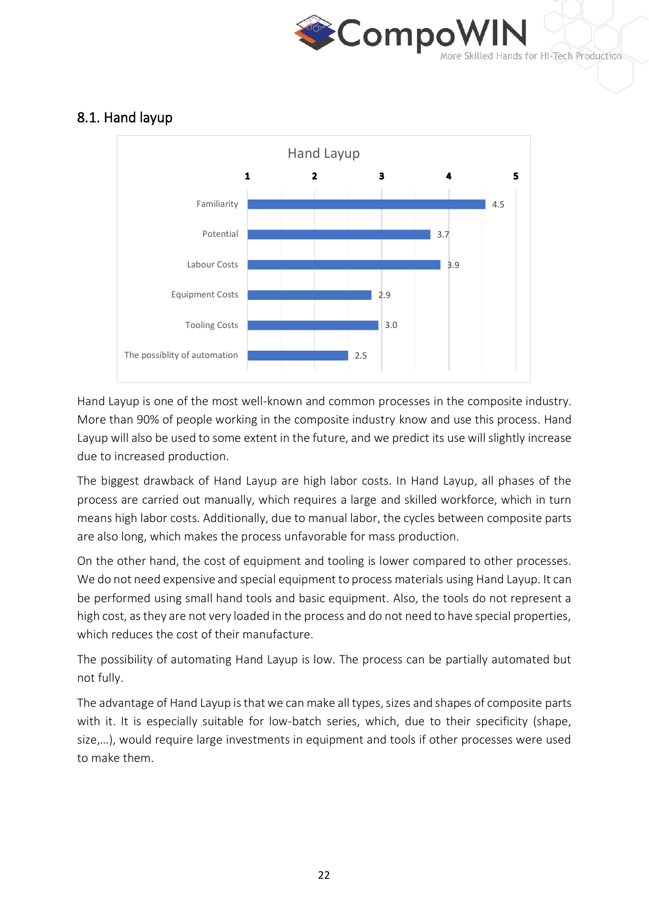

#### <span id="page-21-0"></span>8.1. Hand layup



Hand Layup is one of the most well-known and common processes in the composite industry. More than 90% of people working in the composite industry know and use this process. Hand Layup will also be used to some extent in the future, and we predict its use will slightly increase due to increased production.

The biggest drawback of Hand Layup are high labor costs. In Hand Layup, all phases of the process are carried out manually, which requires a large and skilled workforce, which in turn means high labor costs. Additionally, due to manual labor, the cycles between composite parts are also long, which makes the process unfavorable for mass production.

On the other hand, the cost of equipment and tooling is lower compared to other processes. We do not need expensive and special equipment to process materials using Hand Layup. It can be performed using small hand tools and basic equipment. Also, the tools do not represent a high cost, as they are not very loaded in the process and do not need to have special properties, which reduces the cost of their manufacture.

The possibility of automating Hand Layup is low. The process can be partially automated but not fully.

The advantage of Hand Layup is that we can make all types, sizes and shapes of composite parts with it. It is especially suitable for low-batch series, which, due to their specificity (shape, size,…), would require large investments in equipment and tools if other processes were used to make them.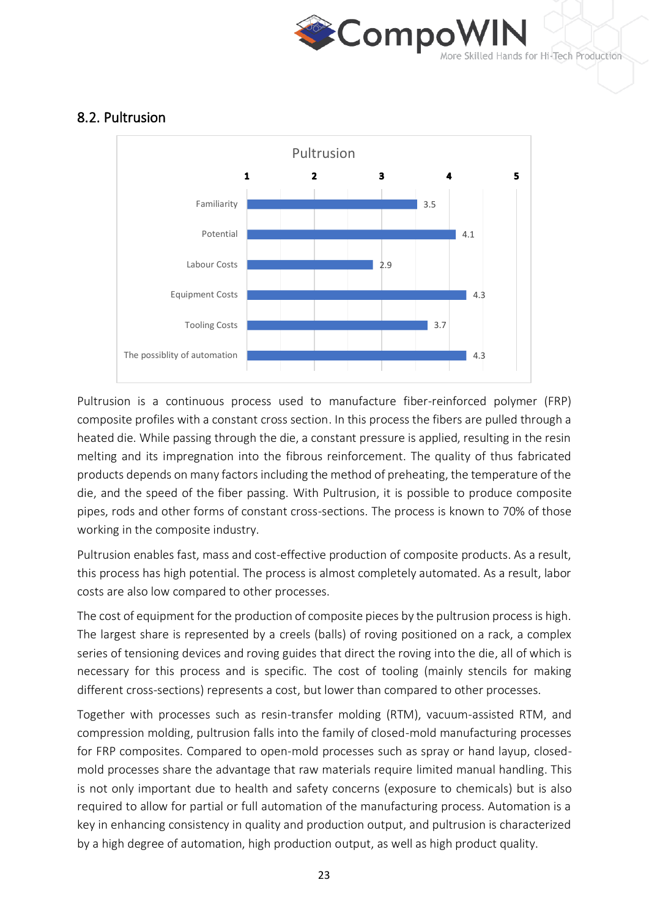

Skilled Hands for Hi-Tech Production

#### Pultrusion $\mathbf{1}$  $\overline{2}$  $\overline{\mathbf{3}}$  $\overline{\mathbf{5}}$ Familiarity 3.5 Potential 4.1 Labour Costs  $2.9$ Equipment Costs  $4.3$ Tooling Costs 3.7 The possiblity of automation 4.3

#### <span id="page-22-0"></span>8.2. Pultrusion

Pultrusion is a continuous process used to manufacture fiber-reinforced polymer (FRP) composite profiles with a constant cross section. In this process the fibers are pulled through a heated die. While passing through the die, a constant pressure is applied, resulting in the resin melting and its impregnation into the fibrous reinforcement. The quality of thus fabricated products depends on many factors including the method of preheating, the temperature of the die, and the speed of the fiber passing. With Pultrusion, it is possible to produce composite pipes, rods and other forms of constant cross-sections. The process is known to 70% of those working in the composite industry.

Pultrusion enables fast, mass and cost-effective production of composite products. As a result, this process has high potential. The process is almost completely automated. As a result, labor costs are also low compared to other processes.

The cost of equipment for the production of composite pieces by the pultrusion process is high. The largest share is represented by a creels (balls) of roving positioned on a rack, a complex series of tensioning devices and roving guides that direct the roving into the die, all of which is necessary for this process and is specific. The cost of tooling (mainly stencils for making different cross-sections) represents a cost, but lower than compared to other processes.

Together with processes such as resin-transfer molding (RTM), vacuum-assisted RTM, and compression molding, pultrusion falls into the family of closed-mold manufacturing processes for FRP composites. Compared to open-mold processes such as spray or hand layup, closedmold processes share the advantage that raw materials require limited manual handling. This is not only important due to health and safety concerns (exposure to chemicals) but is also required to allow for partial or full automation of the manufacturing process. Automation is a key in enhancing consistency in quality and production output, and pultrusion is characterized by a high degree of automation, high production output, as well as high product quality.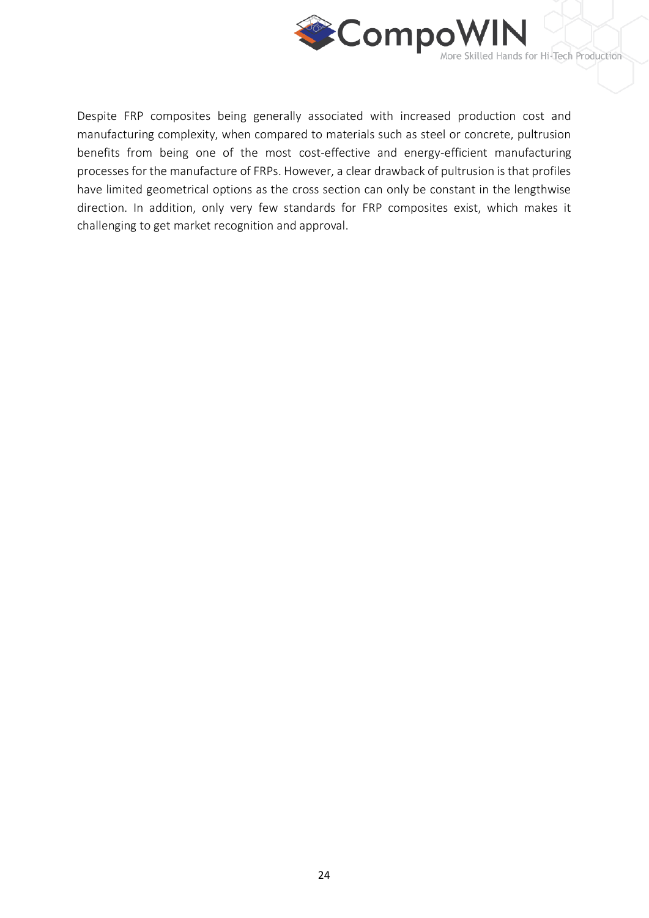

More Skilled Hands for Hi-Tech Production

Despite FRP composites being generally associated with increased production cost and manufacturing complexity, when compared to materials such as steel or concrete, pultrusion benefits from being one of the most cost-effective and energy-efficient manufacturing processes for the manufacture of FRPs. However, a clear drawback of pultrusion is that profiles have limited geometrical options as the cross section can only be constant in the lengthwise direction. In addition, only very few standards for FRP composites exist, which makes it challenging to get market recognition and approval.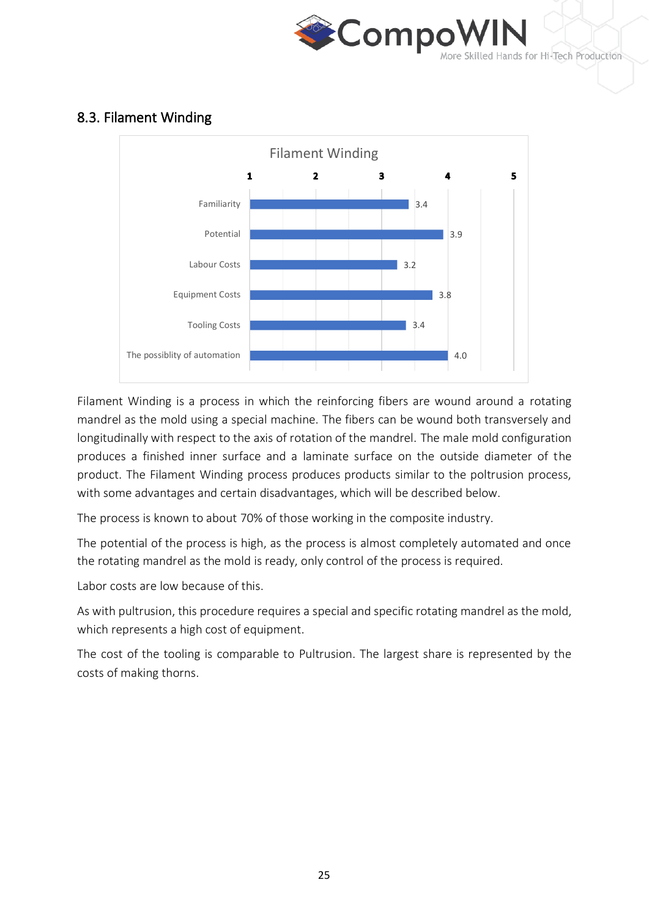

<span id="page-24-0"></span>



Filament Winding is a process in which the reinforcing fibers are wound around a rotating mandrel as the mold using a special machine. The fibers can be wound both transversely and longitudinally with respect to the axis of rotation of the mandrel. The male mold configuration produces a finished inner surface and a laminate surface on the outside diameter of the product. The Filament Winding process produces products similar to the poltrusion process, with some advantages and certain disadvantages, which will be described below.

The process is known to about 70% of those working in the composite industry.

The potential of the process is high, as the process is almost completely automated and once the rotating mandrel as the mold is ready, only control of the process is required.

Labor costs are low because of this.

As with pultrusion, this procedure requires a special and specific rotating mandrel as the mold, which represents a high cost of equipment.

The cost of the tooling is comparable to Pultrusion. The largest share is represented by the costs of making thorns.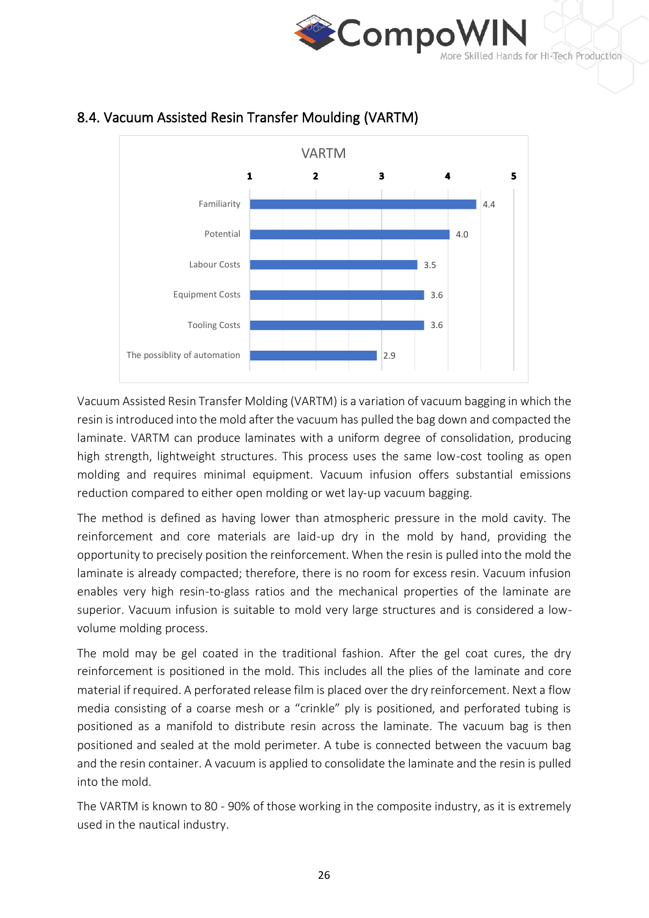



#### <span id="page-25-0"></span>8.4. Vacuum Assisted Resin Transfer Moulding (VARTM)

Vacuum Assisted Resin Transfer Molding (VARTM) is a variation of vacuum bagging in which the resin is introduced into the mold after the vacuum has pulled the bag down and compacted the laminate. VARTM can produce laminates with a uniform degree of consolidation, producing high strength, lightweight structures. This process uses the same low-cost tooling as open molding and requires minimal equipment. Vacuum infusion offers substantial emissions reduction compared to either open molding or wet lay-up vacuum bagging.

The method is defined as having lower than atmospheric pressure in the mold cavity. The reinforcement and core materials are laid-up dry in the mold by hand, providing the opportunity to precisely position the reinforcement. When the resin is pulled into the mold the laminate is already compacted; therefore, there is no room for excess resin. Vacuum infusion enables very high resin-to-glass ratios and the mechanical properties of the laminate are superior. Vacuum infusion is suitable to mold very large structures and is considered a lowvolume molding process.

The mold may be gel coated in the traditional fashion. After the gel coat cures, the dry reinforcement is positioned in the mold. This includes all the plies of the laminate and core material if required. A perforated release film is placed over the dry reinforcement. Next a flow media consisting of a coarse mesh or a "crinkle" ply is positioned, and perforated tubing is positioned as a manifold to distribute resin across the laminate. The vacuum bag is then positioned and sealed at the mold perimeter. A tube is connected between the vacuum bag and the resin container. A vacuum is applied to consolidate the laminate and the resin is pulled into the mold.

The VARTM is known to 80 - 90% of those working in the composite industry, as it is extremely used in the nautical industry.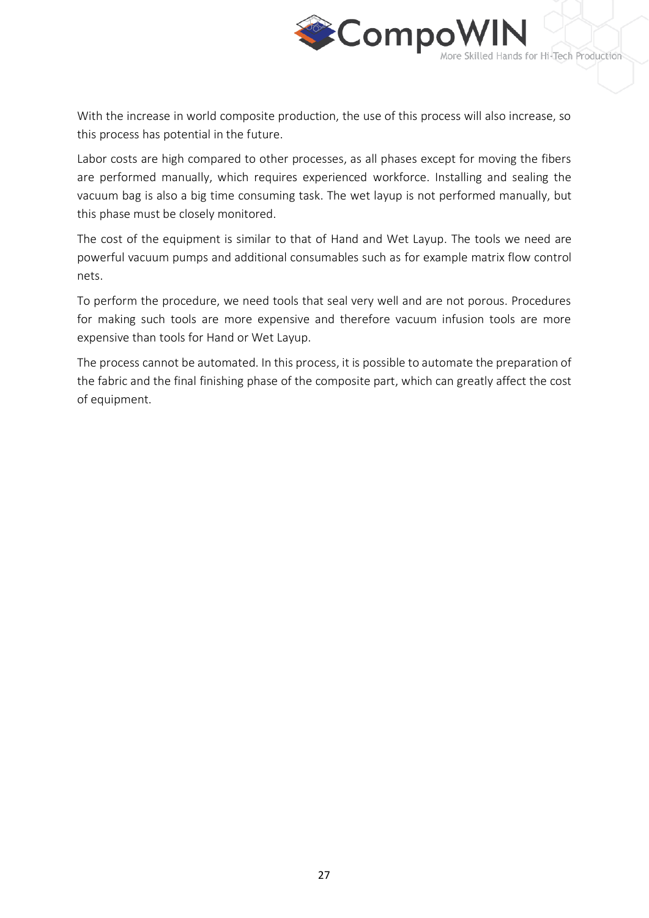

With the increase in world composite production, the use of this process will also increase, so this process has potential in the future.

Labor costs are high compared to other processes, as all phases except for moving the fibers are performed manually, which requires experienced workforce. Installing and sealing the vacuum bag is also a big time consuming task. The wet layup is not performed manually, but this phase must be closely monitored.

The cost of the equipment is similar to that of Hand and Wet Layup. The tools we need are powerful vacuum pumps and additional consumables such as for example matrix flow control nets.

To perform the procedure, we need tools that seal very well and are not porous. Procedures for making such tools are more expensive and therefore vacuum infusion tools are more expensive than tools for Hand or Wet Layup.

The process cannot be automated. In this process, it is possible to automate the preparation of the fabric and the final finishing phase of the composite part, which can greatly affect the cost of equipment.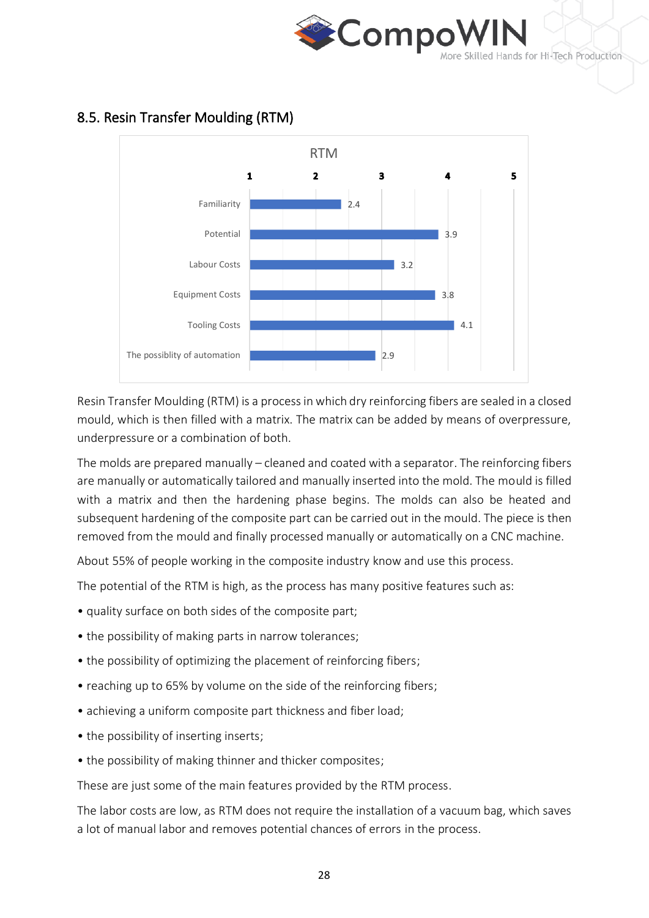



## <span id="page-27-0"></span>8.5. Resin Transfer Moulding (RTM)

Resin Transfer Moulding (RTM) is a process in which dry reinforcing fibers are sealed in a closed mould, which is then filled with a matrix. The matrix can be added by means of overpressure, underpressure or a combination of both.

The molds are prepared manually – cleaned and coated with a separator. The reinforcing fibers are manually or automatically tailored and manually inserted into the mold. The mould is filled with a matrix and then the hardening phase begins. The molds can also be heated and subsequent hardening of the composite part can be carried out in the mould. The piece is then removed from the mould and finally processed manually or automatically on a CNC machine.

About 55% of people working in the composite industry know and use this process.

The potential of the RTM is high, as the process has many positive features such as:

- quality surface on both sides of the composite part;
- the possibility of making parts in narrow tolerances;
- the possibility of optimizing the placement of reinforcing fibers;
- reaching up to 65% by volume on the side of the reinforcing fibers;
- achieving a uniform composite part thickness and fiber load;
- the possibility of inserting inserts;
- the possibility of making thinner and thicker composites;

These are just some of the main features provided by the RTM process.

The labor costs are low, as RTM does not require the installation of a vacuum bag, which saves a lot of manual labor and removes potential chances of errors in the process.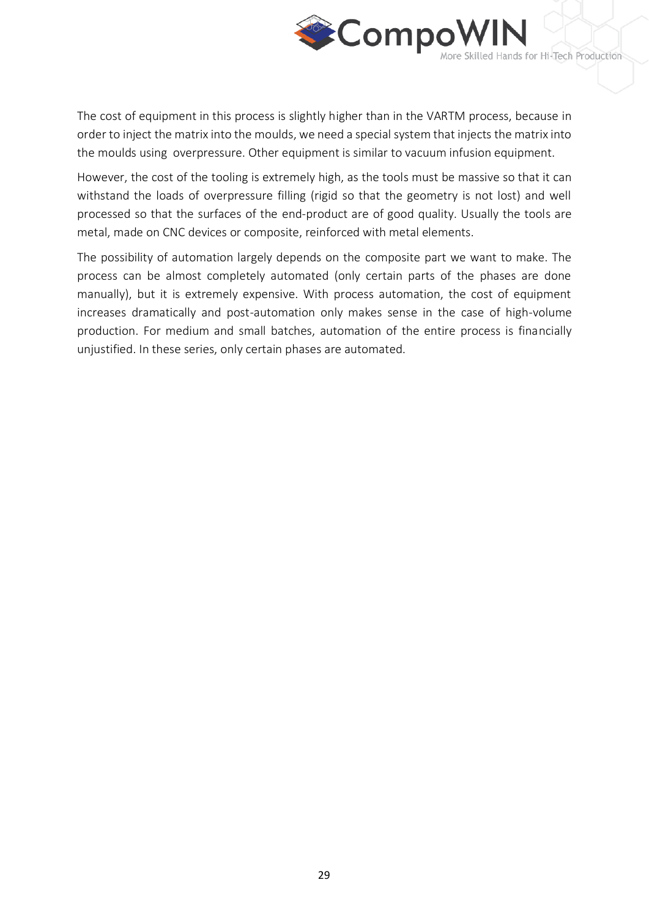

The cost of equipment in this process is slightly higher than in the VARTM process, because in order to inject the matrix into the moulds, we need a special system that injects the matrix into the moulds using overpressure. Other equipment is similar to vacuum infusion equipment.

However, the cost of the tooling is extremely high, as the tools must be massive so that it can withstand the loads of overpressure filling (rigid so that the geometry is not lost) and well processed so that the surfaces of the end-product are of good quality. Usually the tools are metal, made on CNC devices or composite, reinforced with metal elements.

The possibility of automation largely depends on the composite part we want to make. The process can be almost completely automated (only certain parts of the phases are done manually), but it is extremely expensive. With process automation, the cost of equipment increases dramatically and post-automation only makes sense in the case of high-volume production. For medium and small batches, automation of the entire process is financially unjustified. In these series, only certain phases are automated.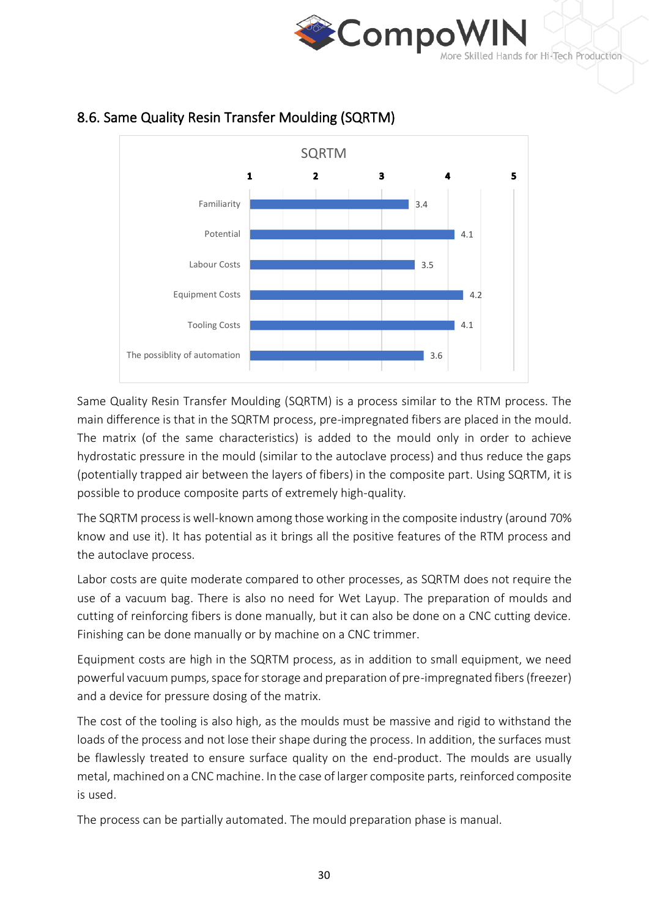



## <span id="page-29-0"></span>8.6. Same Quality Resin Transfer Moulding (SQRTM)

Same Quality Resin Transfer Moulding (SQRTM) is a process similar to the RTM process. The main difference is that in the SQRTM process, pre-impregnated fibers are placed in the mould. The matrix (of the same characteristics) is added to the mould only in order to achieve hydrostatic pressure in the mould (similar to the autoclave process) and thus reduce the gaps (potentially trapped air between the layers of fibers) in the composite part. Using SQRTM, it is possible to produce composite parts of extremely high-quality.

The SQRTM process is well-known among those working in the composite industry (around 70% know and use it). It has potential as it brings all the positive features of the RTM process and the autoclave process.

Labor costs are quite moderate compared to other processes, as SQRTM does not require the use of a vacuum bag. There is also no need for Wet Layup. The preparation of moulds and cutting of reinforcing fibers is done manually, but it can also be done on a CNC cutting device. Finishing can be done manually or by machine on a CNC trimmer.

Equipment costs are high in the SQRTM process, as in addition to small equipment, we need powerful vacuum pumps, space for storage and preparation of pre-impregnated fibers (freezer) and a device for pressure dosing of the matrix.

The cost of the tooling is also high, as the moulds must be massive and rigid to withstand the loads of the process and not lose their shape during the process. In addition, the surfaces must be flawlessly treated to ensure surface quality on the end-product. The moulds are usually metal, machined on a CNC machine. In the case of larger composite parts, reinforced composite is used.

The process can be partially automated. The mould preparation phase is manual.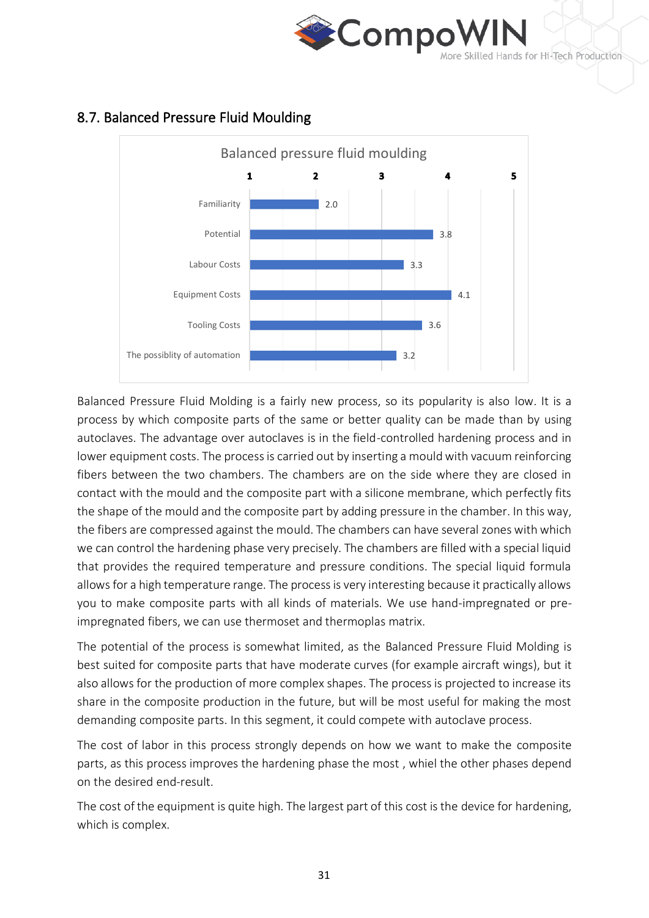



## <span id="page-30-0"></span>8.7. Balanced Pressure Fluid Moulding

Balanced Pressure Fluid Molding is a fairly new process, so its popularity is also low. It is a process by which composite parts of the same or better quality can be made than by using autoclaves. The advantage over autoclaves is in the field-controlled hardening process and in lower equipment costs. The process is carried out by inserting a mould with vacuum reinforcing fibers between the two chambers. The chambers are on the side where they are closed in contact with the mould and the composite part with a silicone membrane, which perfectly fits the shape of the mould and the composite part by adding pressure in the chamber. In this way, the fibers are compressed against the mould. The chambers can have several zones with which we can control the hardening phase very precisely. The chambers are filled with a special liquid that provides the required temperature and pressure conditions. The special liquid formula allows for a high temperature range. The process is very interesting because it practically allows you to make composite parts with all kinds of materials. We use hand-impregnated or preimpregnated fibers, we can use thermoset and thermoplas matrix.

The potential of the process is somewhat limited, as the Balanced Pressure Fluid Molding is best suited for composite parts that have moderate curves (for example aircraft wings), but it also allows for the production of more complex shapes. The process is projected to increase its share in the composite production in the future, but will be most useful for making the most demanding composite parts. In this segment, it could compete with autoclave process.

The cost of labor in this process strongly depends on how we want to make the composite parts, as this process improves the hardening phase the most , whiel the other phases depend on the desired end-result.

The cost of the equipment is quite high. The largest part of this cost is the device for hardening, which is complex.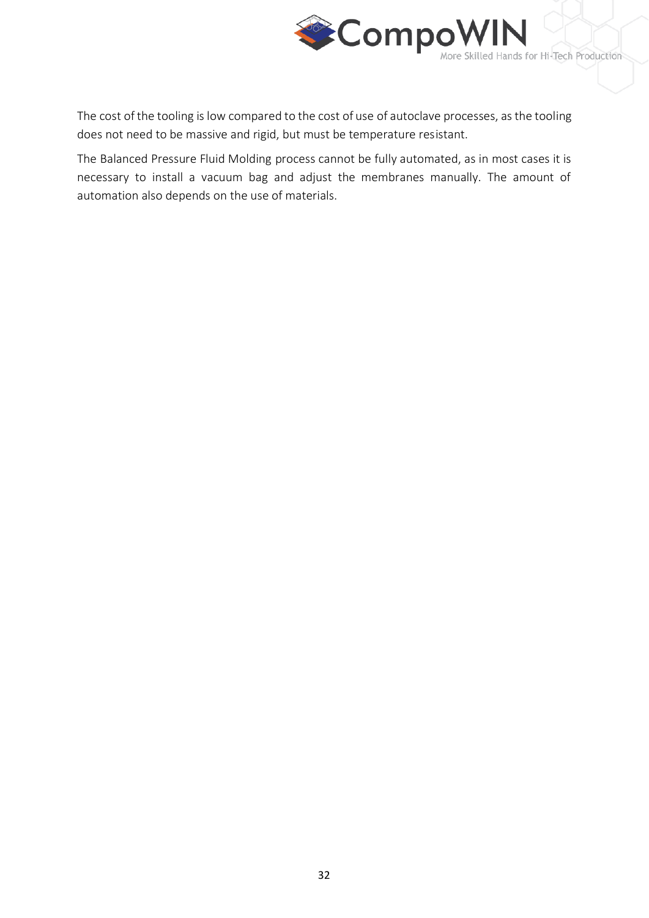

The cost of the tooling is low compared to the cost of use of autoclave processes, as the tooling does not need to be massive and rigid, but must be temperature resistant.

The Balanced Pressure Fluid Molding process cannot be fully automated, as in most cases it is necessary to install a vacuum bag and adjust the membranes manually. The amount of automation also depends on the use of materials.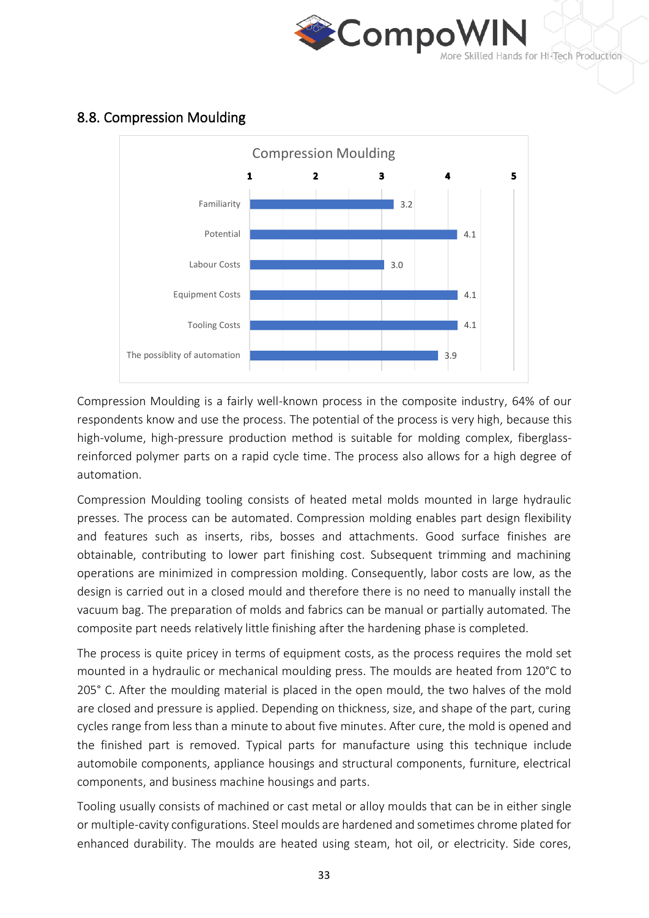



## <span id="page-32-0"></span>8.8. Compression Moulding

Compression Moulding is a fairly well-known process in the composite industry, 64% of our respondents know and use the process. The potential of the process is very high, because this high-volume, high-pressure production method is suitable for molding complex, fiberglassreinforced polymer parts on a rapid cycle time. The process also allows for a high degree of automation.

Compression Moulding tooling consists of heated metal molds mounted in large hydraulic presses. The process can be automated. Compression molding enables part design flexibility and features such as inserts, ribs, bosses and attachments. Good surface finishes are obtainable, contributing to lower part finishing cost. Subsequent trimming and machining operations are minimized in compression molding. Consequently, labor costs are low, as the design is carried out in a closed mould and therefore there is no need to manually install the vacuum bag. The preparation of molds and fabrics can be manual or partially automated. The composite part needs relatively little finishing after the hardening phase is completed.

The process is quite pricey in terms of equipment costs, as the process requires the mold set mounted in a hydraulic or mechanical moulding press. The moulds are heated from 120°C to 205° C. After the moulding material is placed in the open mould, the two halves of the mold are closed and pressure is applied. Depending on thickness, size, and shape of the part, curing cycles range from less than a minute to about five minutes. After cure, the mold is opened and the finished part is removed. Typical parts for manufacture using this technique include automobile components, appliance housings and structural components, furniture, electrical components, and business machine housings and parts.

Tooling usually consists of machined or cast metal or alloy moulds that can be in either single or multiple-cavity configurations. Steel moulds are hardened and sometimes chrome plated for enhanced durability. The moulds are heated using steam, hot oil, or electricity. Side cores,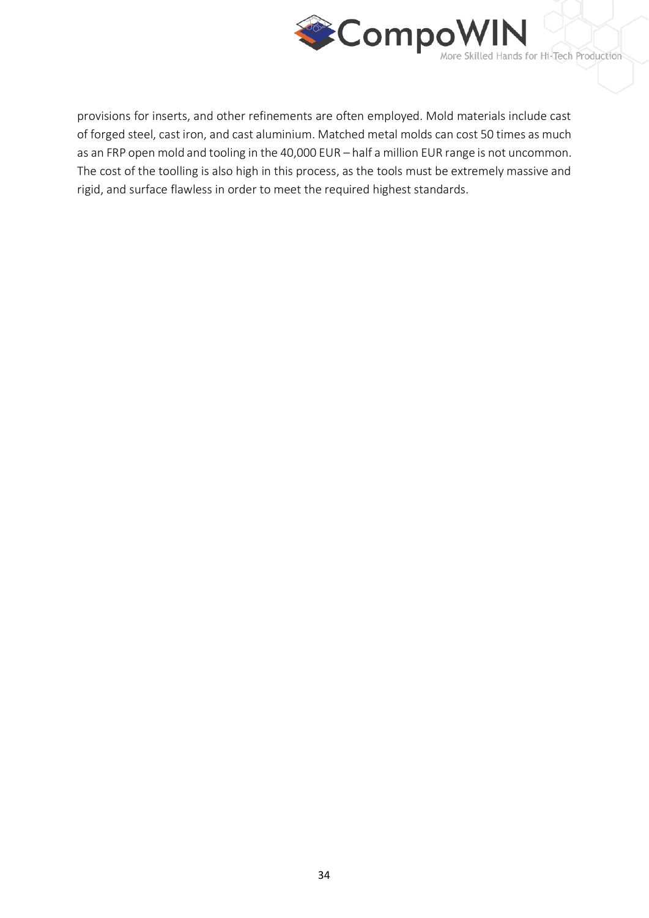

provisions for inserts, and other refinements are often employed. Mold materials include cast of forged steel, cast iron, and cast aluminium. Matched metal molds can cost 50 times as much as an FRP open mold and tooling in the 40,000 EUR – half a million EUR range is not uncommon. The cost of the toolling is also high in this process, as the tools must be extremely massive and rigid, and surface flawless in order to meet the required highest standards.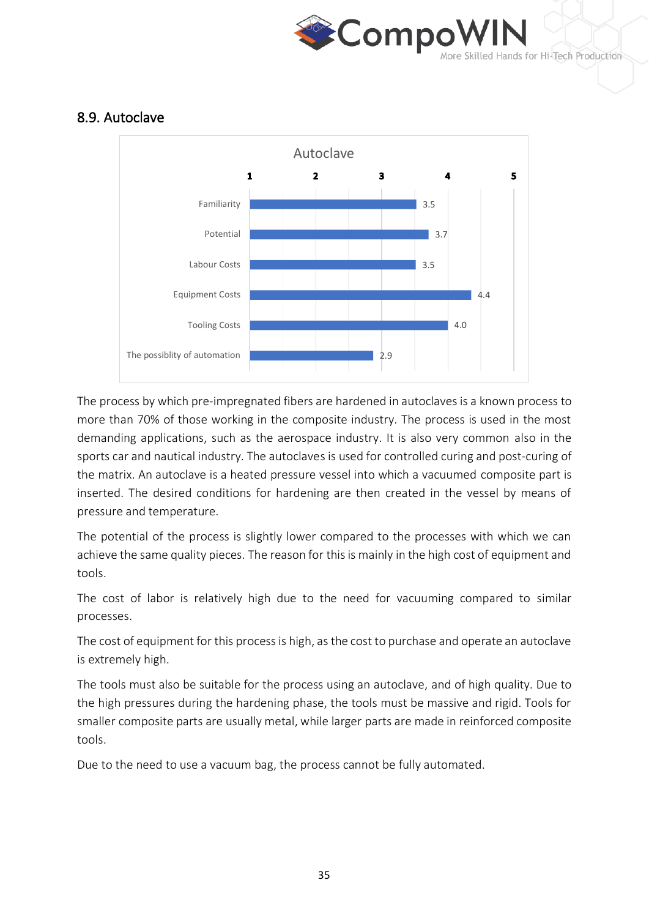

#### <span id="page-34-0"></span>8.9. Autoclave



The process by which pre-impregnated fibers are hardened in autoclaves is a known process to more than 70% of those working in the composite industry. The process is used in the most demanding applications, such as the aerospace industry. It is also very common also in the sports car and nautical industry. The autoclaves is used for controlled curing and post-curing of the matrix. An autoclave is a heated pressure vessel into which a vacuumed composite part is inserted. The desired conditions for hardening are then created in the vessel by means of pressure and temperature.

The potential of the process is slightly lower compared to the processes with which we can achieve the same quality pieces. The reason for this is mainly in the high cost of equipment and tools.

The cost of labor is relatively high due to the need for vacuuming compared to similar processes.

The cost of equipment for this process is high, as the cost to purchase and operate an autoclave is extremely high.

The tools must also be suitable for the process using an autoclave, and of high quality. Due to the high pressures during the hardening phase, the tools must be massive and rigid. Tools for smaller composite parts are usually metal, while larger parts are made in reinforced composite tools.

Due to the need to use a vacuum bag, the process cannot be fully automated.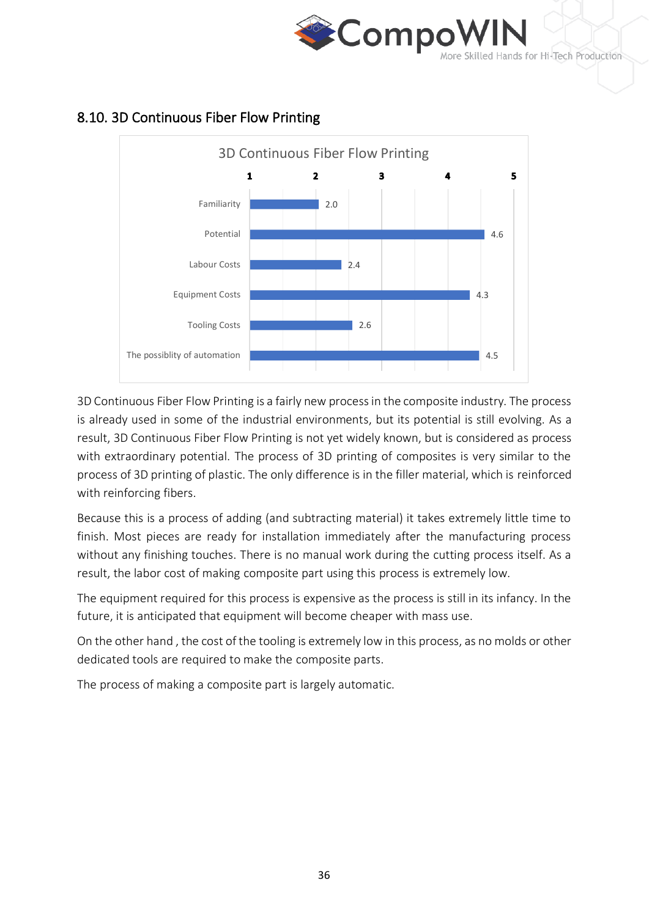



## <span id="page-35-0"></span>8.10. 3D Continuous Fiber Flow Printing

3D Continuous Fiber Flow Printing is a fairly new process in the composite industry. The process is already used in some of the industrial environments, but its potential is still evolving. As a result, 3D Continuous Fiber Flow Printing is not yet widely known, but is considered as process with extraordinary potential. The process of 3D printing of composites is very similar to the process of 3D printing of plastic. The only difference is in the filler material, which is reinforced with reinforcing fibers.

Because this is a process of adding (and subtracting material) it takes extremely little time to finish. Most pieces are ready for installation immediately after the manufacturing process without any finishing touches. There is no manual work during the cutting process itself. As a result, the labor cost of making composite part using this process is extremely low.

The equipment required for this process is expensive as the process is still in its infancy. In the future, it is anticipated that equipment will become cheaper with mass use.

On the other hand , the cost of the tooling is extremely low in this process, as no molds or other dedicated tools are required to make the composite parts.

The process of making a composite part is largely automatic.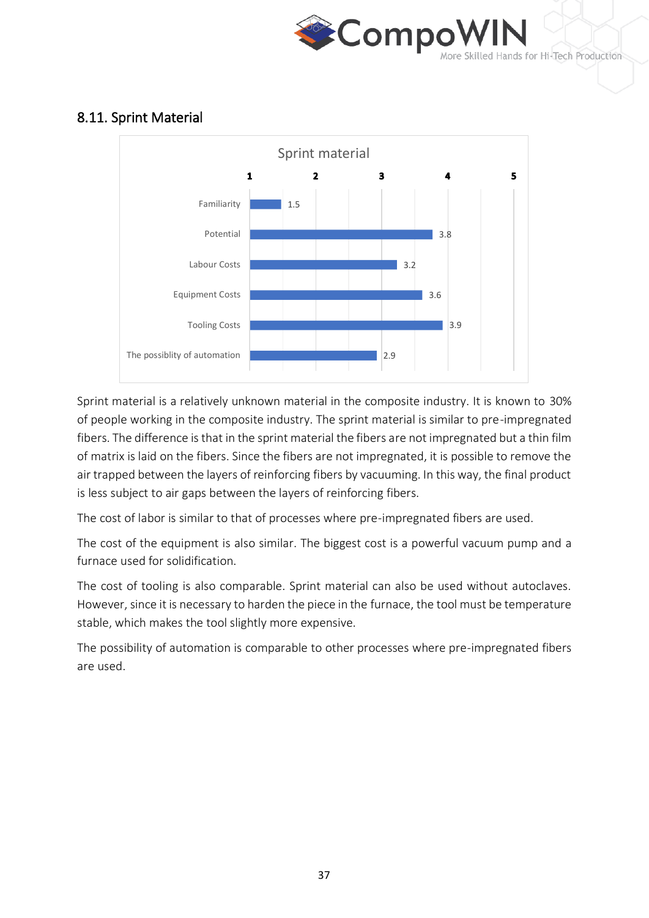



#### <span id="page-36-0"></span>8.11. Sprint Material

Sprint material is a relatively unknown material in the composite industry. It is known to 30% of people working in the composite industry. The sprint material is similar to pre-impregnated fibers. The difference is that in the sprint material the fibers are not impregnated but a thin film of matrix is laid on the fibers. Since the fibers are not impregnated, it is possible to remove the air trapped between the layers of reinforcing fibers by vacuuming. In this way, the final product is less subject to air gaps between the layers of reinforcing fibers.

The cost of labor is similar to that of processes where pre-impregnated fibers are used.

The cost of the equipment is also similar. The biggest cost is a powerful vacuum pump and a furnace used for solidification.

The cost of tooling is also comparable. Sprint material can also be used without autoclaves. However, since it is necessary to harden the piece in the furnace, the tool must be temperature stable, which makes the tool slightly more expensive.

The possibility of automation is comparable to other processes where pre-impregnated fibers are used.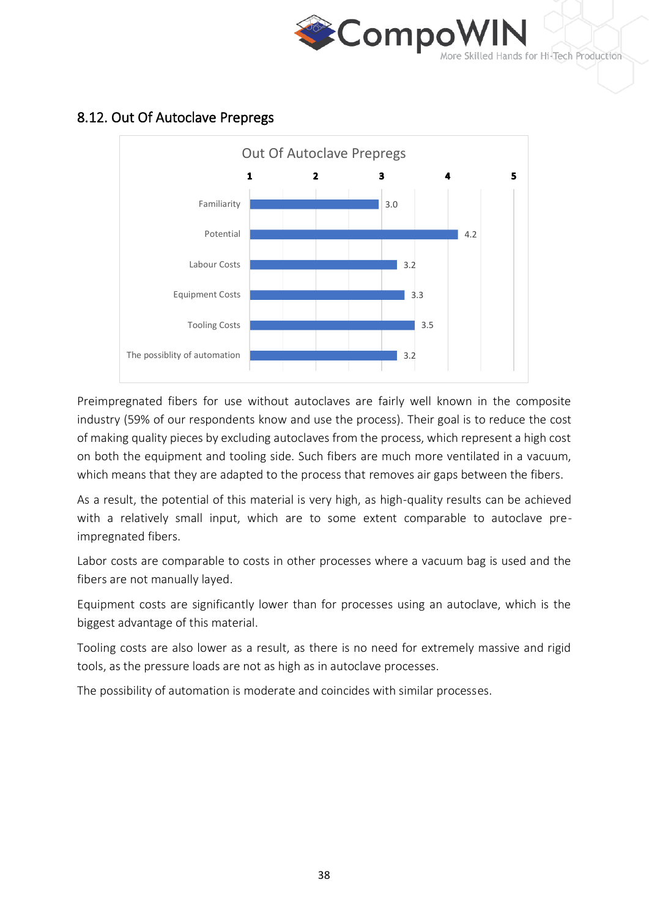



#### <span id="page-37-0"></span>8.12. Out Of Autoclave Prepregs

Preimpregnated fibers for use without autoclaves are fairly well known in the composite industry (59% of our respondents know and use the process). Their goal is to reduce the cost of making quality pieces by excluding autoclaves from the process, which represent a high cost on both the equipment and tooling side. Such fibers are much more ventilated in a vacuum, which means that they are adapted to the process that removes air gaps between the fibers.

As a result, the potential of this material is very high, as high-quality results can be achieved with a relatively small input, which are to some extent comparable to autoclave preimpregnated fibers.

Labor costs are comparable to costs in other processes where a vacuum bag is used and the fibers are not manually layed.

Equipment costs are significantly lower than for processes using an autoclave, which is the biggest advantage of this material.

Tooling costs are also lower as a result, as there is no need for extremely massive and rigid tools, as the pressure loads are not as high as in autoclave processes.

The possibility of automation is moderate and coincides with similar processes.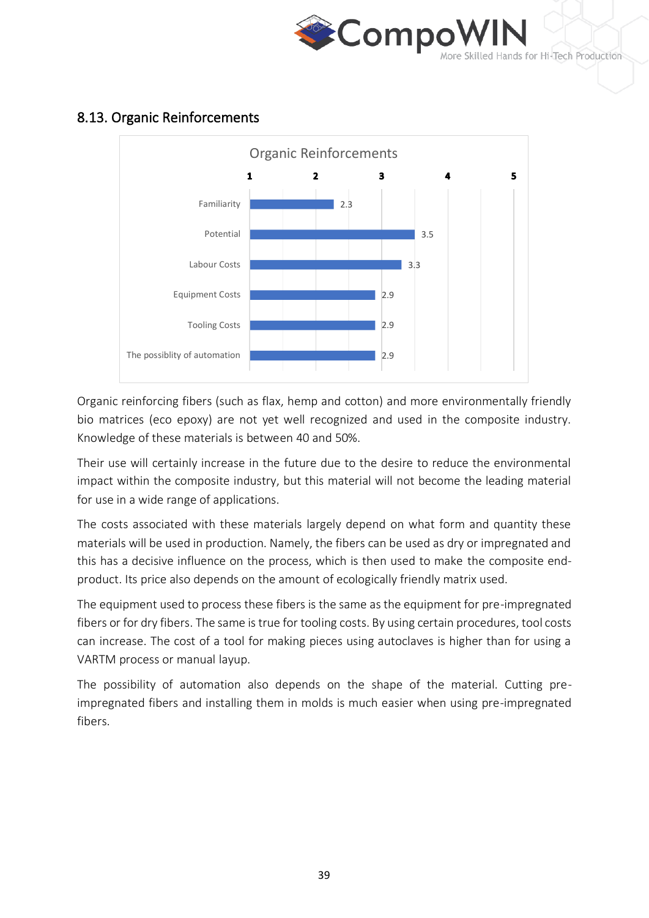



## <span id="page-38-0"></span>8.13. Organic Reinforcements

Organic reinforcing fibers (such as flax, hemp and cotton) and more environmentally friendly bio matrices (eco epoxy) are not yet well recognized and used in the composite industry. Knowledge of these materials is between 40 and 50%.

Their use will certainly increase in the future due to the desire to reduce the environmental impact within the composite industry, but this material will not become the leading material for use in a wide range of applications.

The costs associated with these materials largely depend on what form and quantity these materials will be used in production. Namely, the fibers can be used as dry or impregnated and this has a decisive influence on the process, which is then used to make the composite endproduct. Its price also depends on the amount of ecologically friendly matrix used.

The equipment used to process these fibers is the same as the equipment for pre-impregnated fibers or for dry fibers. The same is true for tooling costs. By using certain procedures, tool costs can increase. The cost of a tool for making pieces using autoclaves is higher than for using a VARTM process or manual layup.

The possibility of automation also depends on the shape of the material. Cutting preimpregnated fibers and installing them in molds is much easier when using pre-impregnated fibers.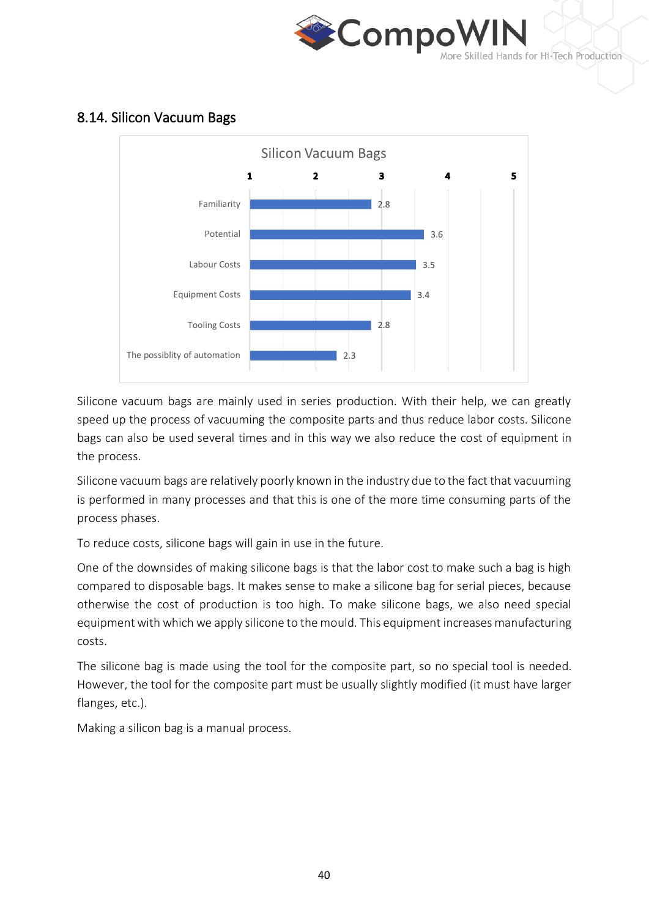



## <span id="page-39-0"></span>8.14. Silicon Vacuum Bags

Silicone vacuum bags are mainly used in series production. With their help, we can greatly speed up the process of vacuuming the composite parts and thus reduce labor costs. Silicone bags can also be used several times and in this way we also reduce the cost of equipment in the process.

Silicone vacuum bags are relatively poorly known in the industry due to the fact that vacuuming is performed in many processes and that this is one of the more time consuming parts of the process phases.

To reduce costs, silicone bags will gain in use in the future.

One of the downsides of making silicone bags is that the labor cost to make such a bag is high compared to disposable bags. It makes sense to make a silicone bag for serial pieces, because otherwise the cost of production is too high. To make silicone bags, we also need special equipment with which we apply silicone to the mould. This equipment increases manufacturing costs.

The silicone bag is made using the tool for the composite part, so no special tool is needed. However, the tool for the composite part must be usually slightly modified (it must have larger flanges, etc.).

Making a silicon bag is a manual process.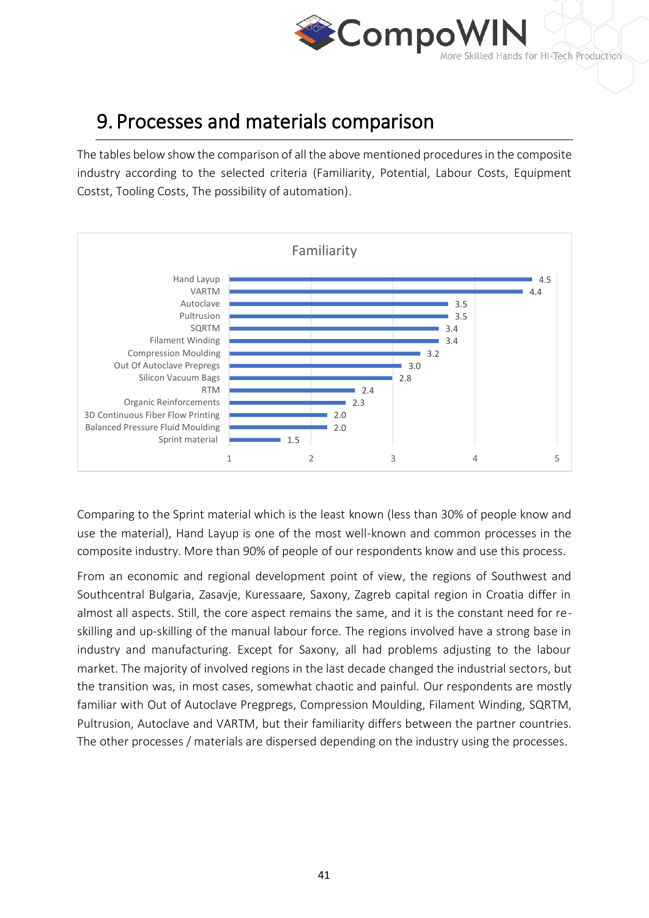

# <span id="page-40-0"></span>9. Processes and materials comparison

The tables below show the comparison of all the above mentioned procedures in the composite industry according to the selected criteria (Familiarity, Potential, Labour Costs, Equipment Costst, Tooling Costs, The possibility of automation).



Comparing to the Sprint material which is the least known (less than 30% of people know and use the material), Hand Layup is one of the most well-known and common processes in the composite industry. More than 90% of people of our respondents know and use this process.

From an economic and regional development point of view, the regions of Southwest and Southcentral Bulgaria, Zasavje, Kuressaare, Saxony, Zagreb capital region in Croatia differ in almost all aspects. Still, the core aspect remains the same, and it is the constant need for reskilling and up-skilling of the manual labour force. The regions involved have a strong base in industry and manufacturing. Except for Saxony, all had problems adjusting to the labour market. The majority of involved regions in the last decade changed the industrial sectors, but the transition was, in most cases, somewhat chaotic and painful. Our respondents are mostly familiar with Out of Autoclave Pregpregs, Compression Moulding, Filament Winding, SQRTM, Pultrusion, Autoclave and VARTM, but their familiarity differs between the partner countries. The other processes / materials are dispersed depending on the industry using the processes.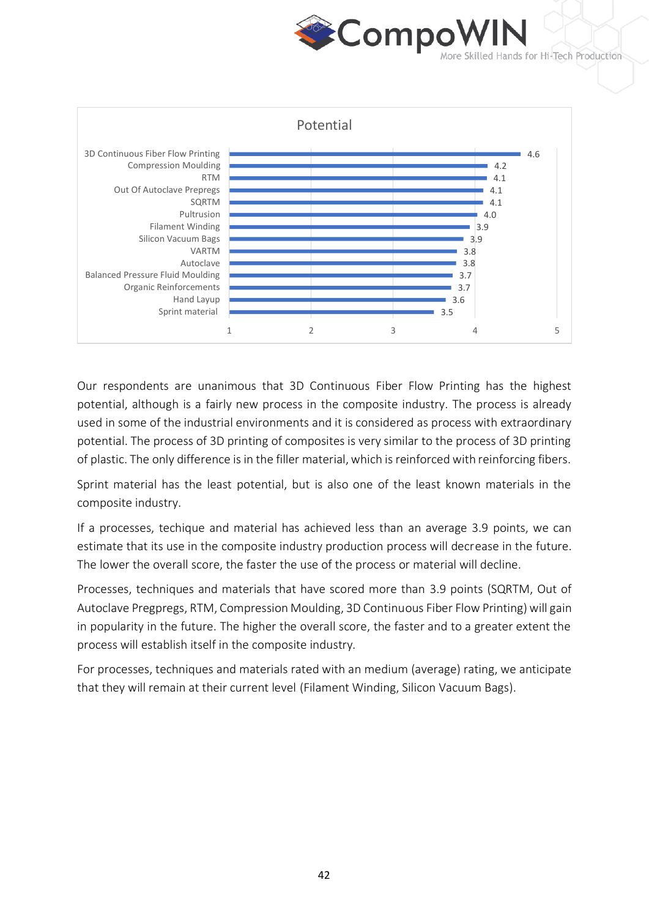

e Skilled Hands for Hi-Tech Production



Our respondents are unanimous that 3D Continuous Fiber Flow Printing has the highest potential, although is a fairly new process in the composite industry. The process is already used in some of the industrial environments and it is considered as process with extraordinary potential. The process of 3D printing of composites is very similar to the process of 3D printing of plastic. The only difference is in the filler material, which is reinforced with reinforcing fibers.

Sprint material has the least potential, but is also one of the least known materials in the composite industry.

If a processes, techique and material has achieved less than an average 3.9 points, we can estimate that its use in the composite industry production process will decrease in the future. The lower the overall score, the faster the use of the process or material will decline.

Processes, techniques and materials that have scored more than 3.9 points (SQRTM, Out of Autoclave Pregpregs, RTM, Compression Moulding, 3D Continuous Fiber Flow Printing) will gain in popularity in the future. The higher the overall score, the faster and to a greater extent the process will establish itself in the composite industry.

For processes, techniques and materials rated with an medium (average) rating, we anticipate that they will remain at their current level (Filament Winding, Silicon Vacuum Bags).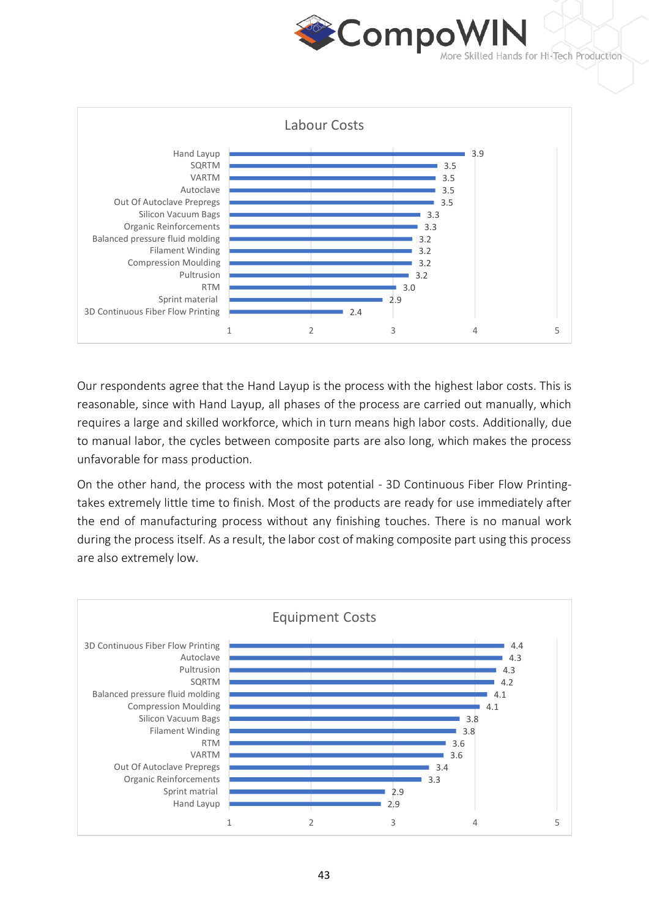

More Skilled Hands for Hi-Tech Production



Our respondents agree that the Hand Layup is the process with the highest labor costs. This is reasonable, since with Hand Layup, all phases of the process are carried out manually, which requires a large and skilled workforce, which in turn means high labor costs. Additionally, due to manual labor, the cycles between composite parts are also long, which makes the process unfavorable for mass production.

On the other hand, the process with the most potential - 3D Continuous Fiber Flow Printingtakes extremely little time to finish. Most of the products are ready for use immediately after the end of manufacturing process without any finishing touches. There is no manual work during the process itself. As a result, the labor cost of making composite part using this process are also extremely low.

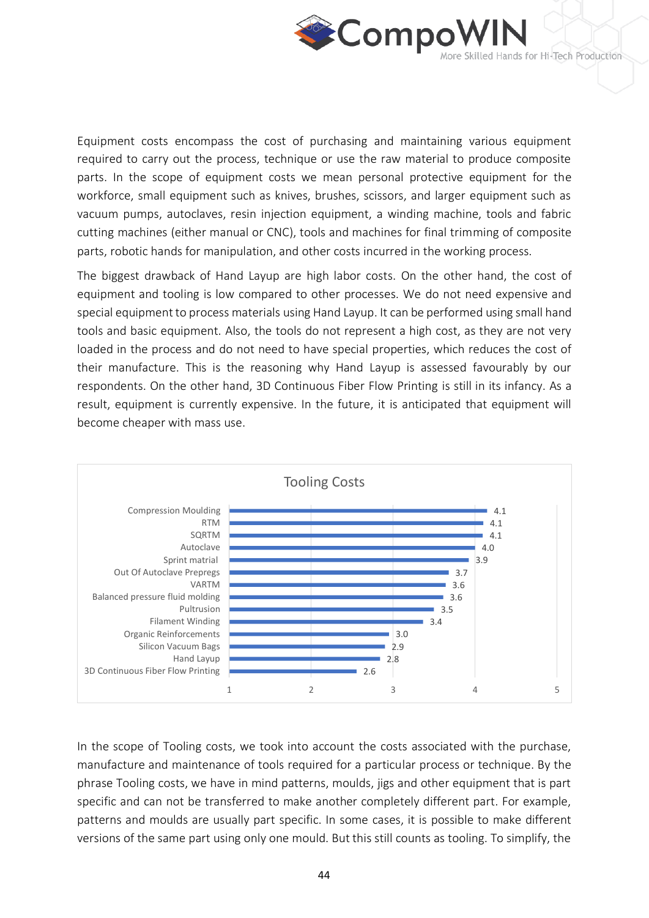

Equipment costs encompass the cost of purchasing and maintaining various equipment required to carry out the process, technique or use the raw material to produce composite parts. In the scope of equipment costs we mean personal protective equipment for the workforce, small equipment such as knives, brushes, scissors, and larger equipment such as vacuum pumps, autoclaves, resin injection equipment, a winding machine, tools and fabric cutting machines (either manual or CNC), tools and machines for final trimming of composite parts, robotic hands for manipulation, and other costs incurred in the working process.

The biggest drawback of Hand Layup are high labor costs. On the other hand, the cost of equipment and tooling is low compared to other processes. We do not need expensive and special equipment to process materials using Hand Layup. It can be performed using small hand tools and basic equipment. Also, the tools do not represent a high cost, as they are not very loaded in the process and do not need to have special properties, which reduces the cost of their manufacture. This is the reasoning why Hand Layup is assessed favourably by our respondents. On the other hand, 3D Continuous Fiber Flow Printing is still in its infancy. As a result, equipment is currently expensive. In the future, it is anticipated that equipment will become cheaper with mass use.



In the scope of Tooling costs, we took into account the costs associated with the purchase, manufacture and maintenance of tools required for a particular process or technique. By the phrase Tooling costs, we have in mind patterns, moulds, jigs and other equipment that is part specific and can not be transferred to make another completely different part. For example, patterns and moulds are usually part specific. In some cases, it is possible to make different versions of the same part using only one mould. But this still counts as tooling. To simplify, the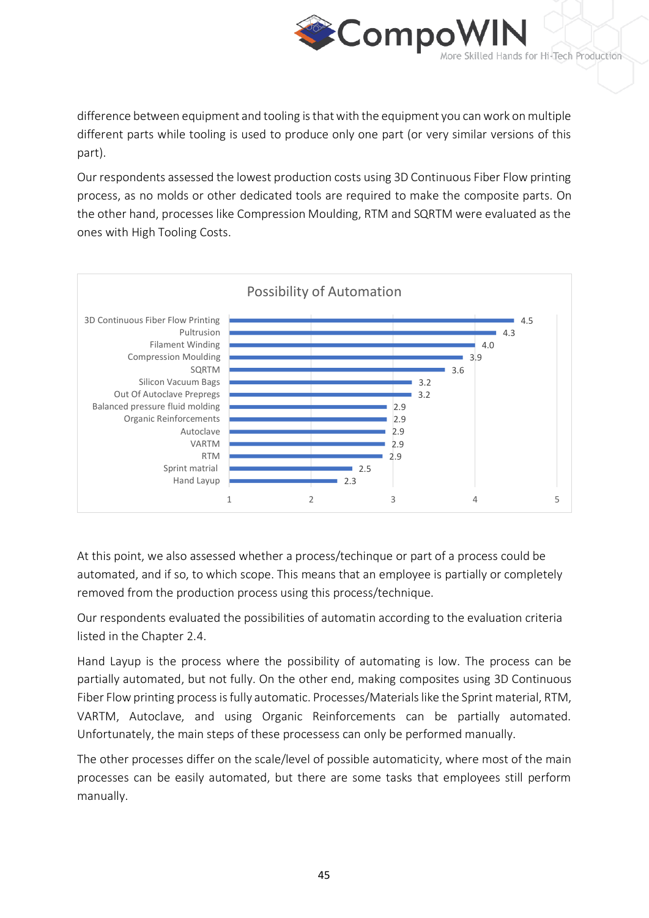

difference between equipment and tooling is that with the equipment you can work on multiple different parts while tooling is used to produce only one part (or very similar versions of this part).

Our respondents assessed the lowest production costs using 3D Continuous Fiber Flow printing process, as no molds or other dedicated tools are required to make the composite parts. On the other hand, processes like Compression Moulding, RTM and SQRTM were evaluated as the ones with High Tooling Costs.



At this point, we also assessed whether a process/techinque or part of a process could be automated, and if so, to which scope. This means that an employee is partially or completely removed from the production process using this process/technique.

Our respondents evaluated the possibilities of automatin according to the evaluation criteria listed in the Chapter 2.4.

Hand Layup is the process where the possibility of automating is low. The process can be partially automated, but not fully. On the other end, making composites using 3D Continuous Fiber Flow printing process is fully automatic. Processes/Materials like the Sprint material, RTM, VARTM, Autoclave, and using Organic Reinforcements can be partially automated. Unfortunately, the main steps of these processess can only be performed manually.

The other processes differ on the scale/level of possible automaticity, where most of the main processes can be easily automated, but there are some tasks that employees still perform manually.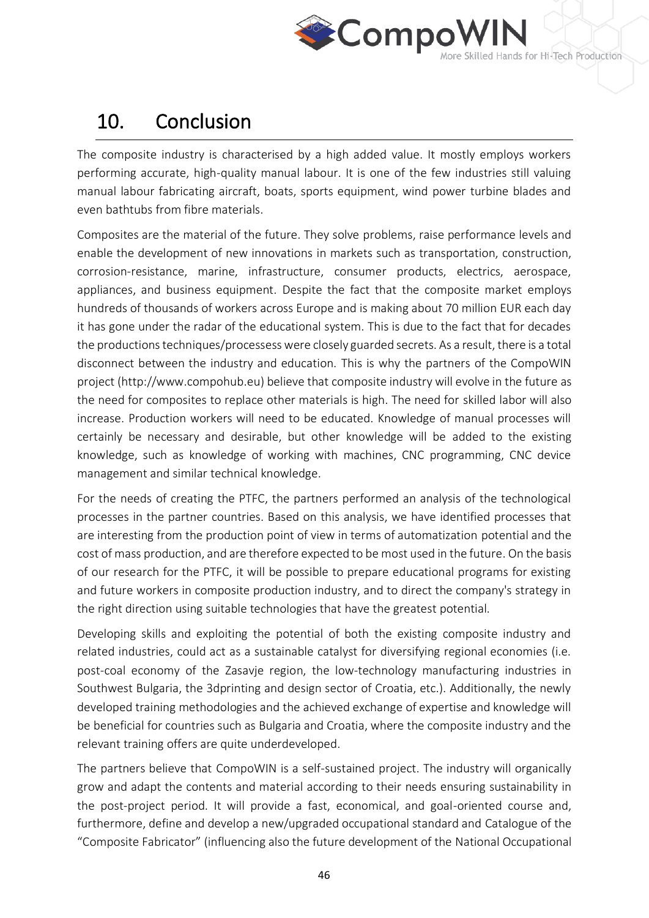

# <span id="page-45-0"></span>10. Conclusion

The composite industry is characterised by a high added value. It mostly employs workers performing accurate, high-quality manual labour. It is one of the few industries still valuing manual labour fabricating aircraft, boats, sports equipment, wind power turbine blades and even bathtubs from fibre materials.

Composites are the material of the future. They solve problems, raise performance levels and enable the development of new innovations in markets such as transportation, construction, corrosion-resistance, marine, infrastructure, consumer products, electrics, aerospace, appliances, and business equipment. Despite the fact that the composite market employs hundreds of thousands of workers across Europe and is making about 70 million EUR each day it has gone under the radar of the educational system. This is due to the fact that for decades the productions techniques/processess were closely guarded secrets. As a result, there is a total disconnect between the industry and education. This is why the partners of the CompoWIN project (http://www.compohub.eu) believe that composite industry will evolve in the future as the need for composites to replace other materials is high. The need for skilled labor will also increase. Production workers will need to be educated. Knowledge of manual processes will certainly be necessary and desirable, but other knowledge will be added to the existing knowledge, such as knowledge of working with machines, CNC programming, CNC device management and similar technical knowledge.

For the needs of creating the PTFC, the partners performed an analysis of the technological processes in the partner countries. Based on this analysis, we have identified processes that are interesting from the production point of view in terms of automatization potential and the cost of mass production, and are therefore expected to be most used in the future. On the basis of our research for the PTFC, it will be possible to prepare educational programs for existing and future workers in composite production industry, and to direct the company's strategy in the right direction using suitable technologies that have the greatest potential.

Developing skills and exploiting the potential of both the existing composite industry and related industries, could act as a sustainable catalyst for diversifying regional economies (i.e. post-coal economy of the Zasavje region, the low-technology manufacturing industries in Southwest Bulgaria, the 3dprinting and design sector of Croatia, etc.). Additionally, the newly developed training methodologies and the achieved exchange of expertise and knowledge will be beneficial for countries such as Bulgaria and Croatia, where the composite industry and the relevant training offers are quite underdeveloped.

The partners believe that CompoWIN is a self-sustained project. The industry will organically grow and adapt the contents and material according to their needs ensuring sustainability in the post-project period. It will provide a fast, economical, and goal-oriented course and, furthermore, define and develop a new/upgraded occupational standard and Catalogue of the "Composite Fabricator" (influencing also the future development of the National Occupational